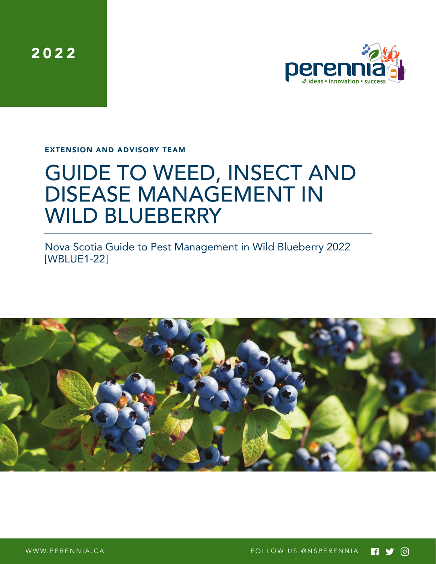2022



EXTENSION AND ADVISORY TEAM

# GUIDE TO WEED, INSECT AND DISEASE MANAGEMENT IN WILD BLUEBERRY

Nova Scotia Guide to Pest Management in Wild Blueberry 2022 [WBLUE1-22]

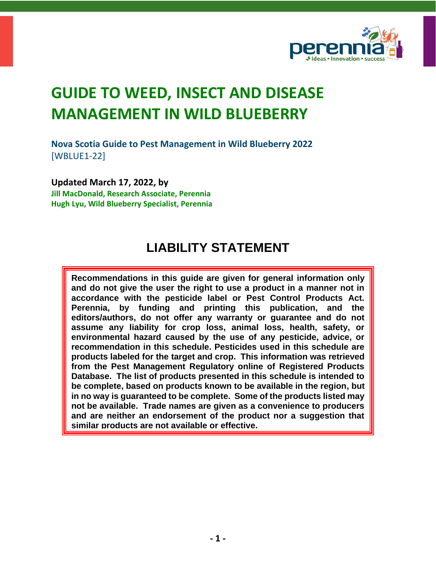

**Nova Scotia Guide to Pest Management in Wild Blueberry 2022** [WBLUE1-22]

**Updated March 17, 2022, by Jill MacDonald, Research Associate, Perennia Hugh Lyu, Wild Blueberry Specialist, Perennia**

### **LIABILITY STATEMENT**

**Recommendations in this guide are given for general information only and do not give the user the right to use a product in a manner not in accordance with the pesticide label or Pest Control Products Act. Perennia, by funding and printing this publication, and the editors/authors, do not offer any warranty or guarantee and do not assume any liability for crop loss, animal loss, health, safety, or environmental hazard caused by the use of any pesticide, advice, or recommendation in this schedule. Pesticides used in this schedule are products labeled for the target and crop. This information was retrieved from the Pest Management Regulatory online of Registered Products Database. The list of products presented in this schedule is intended to be complete, based on products known to be available in the region, but in no way is guaranteed to be complete. Some of the products listed may not be available. Trade names are given as a convenience to producers and are neither an endorsement of the product nor a suggestion that similar products are not available or effective.**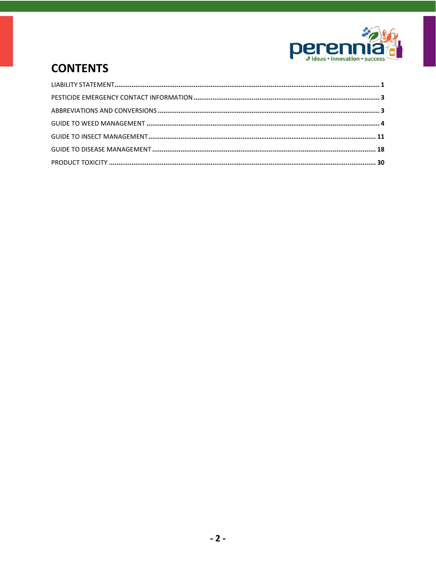

## **CONTENTS**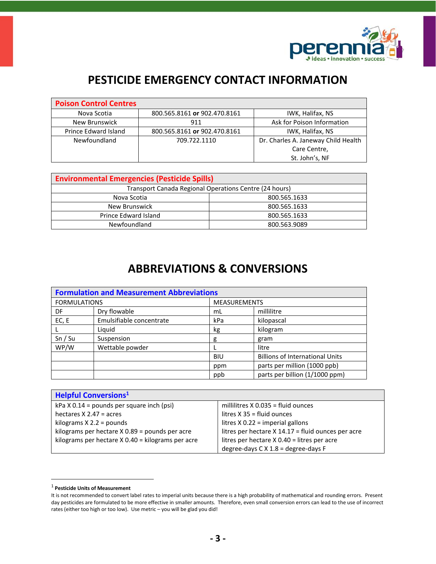

### **PESTICIDE EMERGENCY CONTACT INFORMATION**

| <b>Poison Control Centres</b> |                              |                                     |
|-------------------------------|------------------------------|-------------------------------------|
| Nova Scotia                   | 800.565.8161 or 902.470.8161 | IWK, Halifax, NS                    |
| New Brunswick                 | 911                          | Ask for Poison Information          |
| Prince Edward Island          | 800.565.8161 or 902.470.8161 | IWK, Halifax, NS                    |
| Newfoundland                  | 709.722.1110                 | Dr. Charles A. Janeway Child Health |
|                               |                              | Care Centre,                        |
|                               |                              | St. John's, NF                      |

| <b>Environmental Emergencies (Pesticide Spills)</b>    |              |  |  |  |  |  |
|--------------------------------------------------------|--------------|--|--|--|--|--|
| Transport Canada Regional Operations Centre (24 hours) |              |  |  |  |  |  |
| Nova Scotia                                            | 800.565.1633 |  |  |  |  |  |
| New Brunswick                                          | 800.565.1633 |  |  |  |  |  |
| Prince Edward Island                                   | 800.565.1633 |  |  |  |  |  |
| Newfoundland                                           | 800.563.9089 |  |  |  |  |  |

### **ABBREVIATIONS & CONVERSIONS**

| <b>Formulation and Measurement Abbreviations</b> |                          |                     |                                        |  |  |  |  |
|--------------------------------------------------|--------------------------|---------------------|----------------------------------------|--|--|--|--|
| <b>FORMULATIONS</b>                              |                          | <b>MEASUREMENTS</b> |                                        |  |  |  |  |
| DF                                               | Dry flowable             | mL                  | millilitre                             |  |  |  |  |
| EC, E                                            | Emulsifiable concentrate | kPa                 | kilopascal                             |  |  |  |  |
|                                                  | Liquid                   | kg                  | kilogram                               |  |  |  |  |
| Sn / Su                                          | Suspension               | g                   | gram                                   |  |  |  |  |
| WP/W                                             | Wettable powder          |                     | litre                                  |  |  |  |  |
|                                                  |                          | <b>BIU</b>          | <b>Billions of International Units</b> |  |  |  |  |
|                                                  | ppm                      |                     | parts per million (1000 ppb)           |  |  |  |  |
|                                                  |                          | ppb                 | parts per billion (1/1000 ppm)         |  |  |  |  |

| <b>Helpful Conversions</b> <sup>1</sup>             |                                                      |
|-----------------------------------------------------|------------------------------------------------------|
| $kPa$ X 0.14 = pounds per square inch (psi)         | millilitres $X$ 0.035 = fluid ounces                 |
| hectares $X$ 2.47 = acres                           | litres $X$ 35 = fluid ounces                         |
| kilograms $X$ 2.2 = pounds                          | litres $X$ 0.22 = imperial gallons                   |
| kilograms per hectare $X$ 0.89 = pounds per acre    | litres per hectare $X$ 14.17 = fluid ounces per acre |
| kilograms per hectare $X$ 0.40 = kilograms per acre | litres per hectare X 0.40 = litres per acre          |
|                                                     | degree-days $C \times 1.8$ = degree-days F           |

<sup>1</sup> **Pesticide Units of Measurement**

It is not recommended to convert label rates to imperial units because there is a high probability of mathematical and rounding errors. Present day pesticides are formulated to be more effective in smaller amounts. Therefore, even small conversion errors can lead to the use of incorrect rates (either too high or too low). Use metric – you will be glad you did!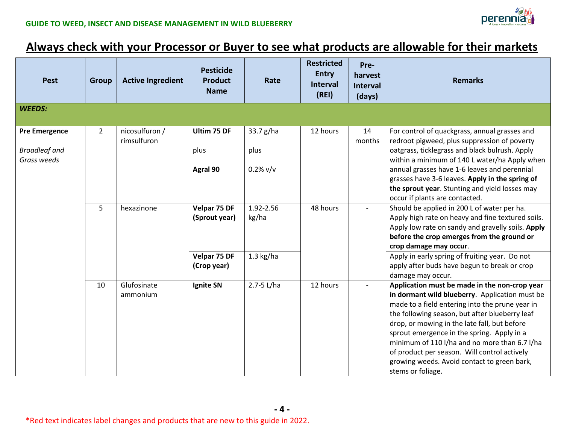

### **Always check with your Processor or Buyer to see what products are allowable for their markets**

| <b>Pest</b>                                                 | <b>Group</b>   | <b>Active Ingredient</b>      | <b>Pesticide</b><br><b>Product</b><br><b>Name</b> | Rate                             | <b>Restricted</b><br><b>Entry</b><br><b>Interval</b><br>(RE) | Pre-<br>harvest<br><b>Interval</b><br>(days) | <b>Remarks</b>                                                                                                                                                                                                                                                                                                                                                                                                                                                          |
|-------------------------------------------------------------|----------------|-------------------------------|---------------------------------------------------|----------------------------------|--------------------------------------------------------------|----------------------------------------------|-------------------------------------------------------------------------------------------------------------------------------------------------------------------------------------------------------------------------------------------------------------------------------------------------------------------------------------------------------------------------------------------------------------------------------------------------------------------------|
| <b>WEEDS:</b>                                               |                |                               |                                                   |                                  |                                                              |                                              |                                                                                                                                                                                                                                                                                                                                                                                                                                                                         |
| <b>Pre Emergence</b><br><b>Broadleaf and</b><br>Grass weeds | $\overline{2}$ | nicosulfuron /<br>rimsulfuron | Ultim 75 DF<br>plus<br>Agral 90                   | 33.7 g/ha<br>plus<br>$0.2\%$ v/v | 12 hours                                                     | 14<br>months                                 | For control of quackgrass, annual grasses and<br>redroot pigweed, plus suppression of poverty<br>oatgrass, ticklegrass and black bulrush. Apply<br>within a minimum of 140 L water/ha Apply when<br>annual grasses have 1-6 leaves and perennial<br>grasses have 3-6 leaves. Apply in the spring of<br>the sprout year. Stunting and yield losses may                                                                                                                   |
|                                                             | 5              | hexazinone                    | Velpar 75 DF<br>(Sprout year)                     | 1.92-2.56<br>kg/ha               | 48 hours                                                     |                                              | occur if plants are contacted.<br>Should be applied in 200 L of water per ha.<br>Apply high rate on heavy and fine textured soils.<br>Apply low rate on sandy and gravelly soils. Apply<br>before the crop emerges from the ground or<br>crop damage may occur.                                                                                                                                                                                                         |
|                                                             |                |                               | Velpar 75 DF<br>(Crop year)                       | $1.3$ kg/ha                      |                                                              |                                              | Apply in early spring of fruiting year. Do not<br>apply after buds have begun to break or crop<br>damage may occur.                                                                                                                                                                                                                                                                                                                                                     |
|                                                             | 10             | Glufosinate<br>ammonium       | Ignite SN                                         | 2.7-5 L/ha                       | 12 hours                                                     |                                              | Application must be made in the non-crop year<br>in dormant wild blueberry. Application must be<br>made to a field entering into the prune year in<br>the following season, but after blueberry leaf<br>drop, or mowing in the late fall, but before<br>sprout emergence in the spring. Apply in a<br>minimum of 110 l/ha and no more than 6.7 l/ha<br>of product per season. Will control actively<br>growing weeds. Avoid contact to green bark,<br>stems or foliage. |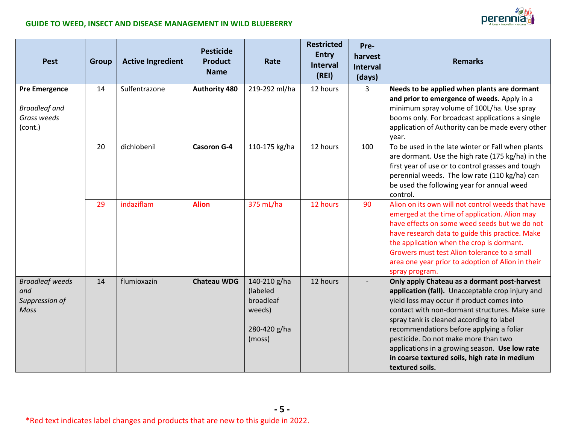perennia<sub>d</sub>



| <b>Pest</b>                                                            | Group | <b>Active Ingredient</b> | <b>Pesticide</b><br><b>Product</b><br><b>Name</b> | Rate                                                                      | <b>Restricted</b><br><b>Entry</b><br><b>Interval</b><br>(REI) | Pre-<br>harvest<br><b>Interval</b><br>(days) | <b>Remarks</b>                                                                                                                                                                                                                                                                                                                                                                                                                                         |
|------------------------------------------------------------------------|-------|--------------------------|---------------------------------------------------|---------------------------------------------------------------------------|---------------------------------------------------------------|----------------------------------------------|--------------------------------------------------------------------------------------------------------------------------------------------------------------------------------------------------------------------------------------------------------------------------------------------------------------------------------------------------------------------------------------------------------------------------------------------------------|
| <b>Pre Emergence</b><br><b>Broadleaf and</b><br>Grass weeds<br>(cont.) | 14    | Sulfentrazone            | <b>Authority 480</b>                              | 219-292 ml/ha                                                             | 12 hours                                                      | $\overline{3}$                               | Needs to be applied when plants are dormant<br>and prior to emergence of weeds. Apply in a<br>minimum spray volume of 100L/ha. Use spray<br>booms only. For broadcast applications a single<br>application of Authority can be made every other<br>year.                                                                                                                                                                                               |
|                                                                        | 20    | dichlobenil              | <b>Casoron G-4</b>                                | 110-175 kg/ha                                                             | 12 hours                                                      | 100                                          | To be used in the late winter or Fall when plants<br>are dormant. Use the high rate (175 kg/ha) in the<br>first year of use or to control grasses and tough<br>perennial weeds. The low rate (110 kg/ha) can<br>be used the following year for annual weed<br>control.                                                                                                                                                                                 |
|                                                                        | 29    | indaziflam               | <b>Alion</b>                                      | 375 mL/ha                                                                 | 12 hours                                                      | 90                                           | Alion on its own will not control weeds that have<br>emerged at the time of application. Alion may<br>have effects on some weed seeds but we do not<br>have research data to guide this practice. Make<br>the application when the crop is dormant.<br>Growers must test Alion tolerance to a small<br>area one year prior to adoption of Alion in their<br>spray program.                                                                             |
| <b>Broadleaf weeds</b><br>and<br>Suppression of<br><b>Moss</b>         | 14    | flumioxazin              | <b>Chateau WDG</b>                                | 140-210 g/ha<br>(labeled<br>broadleaf<br>weeds)<br>280-420 g/ha<br>(moss) | 12 hours                                                      |                                              | Only apply Chateau as a dormant post-harvest<br>application (fall). Unacceptable crop injury and<br>yield loss may occur if product comes into<br>contact with non-dormant structures. Make sure<br>spray tank is cleaned according to label<br>recommendations before applying a foliar<br>pesticide. Do not make more than two<br>applications in a growing season. Use low rate<br>in coarse textured soils, high rate in medium<br>textured soils. |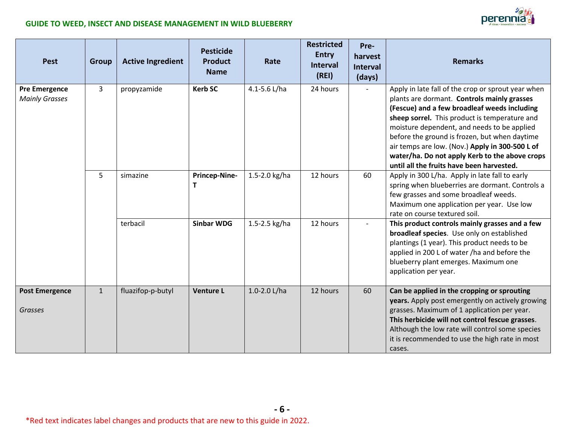

| <b>Pest</b>                                   | Group        | <b>Active Ingredient</b> | <b>Pesticide</b><br><b>Product</b><br><b>Name</b> | Rate          | <b>Restricted</b><br><b>Entry</b><br><b>Interval</b><br>(REI) | Pre-<br>harvest<br><b>Interval</b><br>(days) | <b>Remarks</b>                                                                                                                                                                                                                                                                                                                                                                                                                                       |
|-----------------------------------------------|--------------|--------------------------|---------------------------------------------------|---------------|---------------------------------------------------------------|----------------------------------------------|------------------------------------------------------------------------------------------------------------------------------------------------------------------------------------------------------------------------------------------------------------------------------------------------------------------------------------------------------------------------------------------------------------------------------------------------------|
| <b>Pre Emergence</b><br><b>Mainly Grasses</b> | 3            | propyzamide              | <b>Kerb SC</b>                                    | 4.1-5.6 L/ha  | 24 hours                                                      |                                              | Apply in late fall of the crop or sprout year when<br>plants are dormant. Controls mainly grasses<br>(Fescue) and a few broadleaf weeds including<br>sheep sorrel. This product is temperature and<br>moisture dependent, and needs to be applied<br>before the ground is frozen, but when daytime<br>air temps are low. (Nov.) Apply in 300-500 L of<br>water/ha. Do not apply Kerb to the above crops<br>until all the fruits have been harvested. |
|                                               | 5            | simazine                 | Princep-Nine-                                     | 1.5-2.0 kg/ha | 12 hours                                                      | 60                                           | Apply in 300 L/ha. Apply in late fall to early<br>spring when blueberries are dormant. Controls a<br>few grasses and some broadleaf weeds.<br>Maximum one application per year. Use low<br>rate on course textured soil.                                                                                                                                                                                                                             |
|                                               |              | terbacil                 | <b>Sinbar WDG</b>                                 | 1.5-2.5 kg/ha | 12 hours                                                      |                                              | This product controls mainly grasses and a few<br>broadleaf species. Use only on established<br>plantings (1 year). This product needs to be<br>applied in 200 L of water /ha and before the<br>blueberry plant emerges. Maximum one<br>application per year.                                                                                                                                                                                        |
| <b>Post Emergence</b><br><b>Grasses</b>       | $\mathbf{1}$ | fluazifop-p-butyl        | <b>Venture L</b>                                  | 1.0-2.0 L/ha  | 12 hours                                                      | 60                                           | Can be applied in the cropping or sprouting<br>years. Apply post emergently on actively growing<br>grasses. Maximum of 1 application per year.<br>This herbicide will not control fescue grasses.<br>Although the low rate will control some species<br>it is recommended to use the high rate in most<br>cases.                                                                                                                                     |

**- 6 -**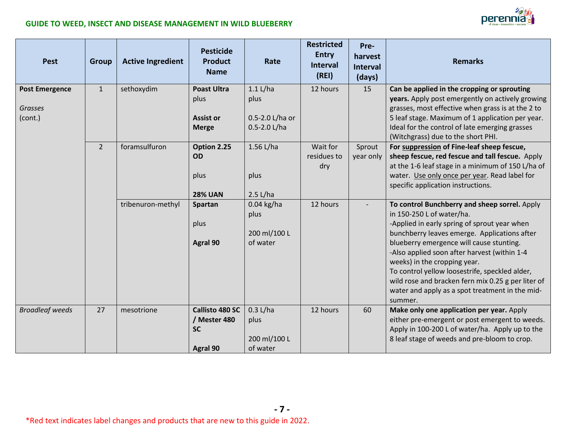

| <b>Pest</b>                                        | <b>Group</b> | <b>Active Ingredient</b> | <b>Pesticide</b><br><b>Product</b><br><b>Name</b>               | Rate                                                  | <b>Restricted</b><br><b>Entry</b><br>Interval<br>(REI) | Pre-<br>harvest<br><b>Interval</b><br>(days) | <b>Remarks</b>                                                                                                                                                                                                                                                                                                                                                                                                                                                               |
|----------------------------------------------------|--------------|--------------------------|-----------------------------------------------------------------|-------------------------------------------------------|--------------------------------------------------------|----------------------------------------------|------------------------------------------------------------------------------------------------------------------------------------------------------------------------------------------------------------------------------------------------------------------------------------------------------------------------------------------------------------------------------------------------------------------------------------------------------------------------------|
| <b>Post Emergence</b><br><b>Grasses</b><br>(cont.) | $\mathbf{1}$ | sethoxydim               | <b>Poast Ultra</b><br>plus<br><b>Assist or</b><br><b>Merge</b>  | $1.1$ L/ha<br>plus<br>0.5-2.0 L/ha or<br>0.5-2.0 L/ha | 12 hours                                               | 15                                           | Can be applied in the cropping or sprouting<br>years. Apply post emergently on actively growing<br>grasses, most effective when grass is at the 2 to<br>5 leaf stage. Maximum of 1 application per year.<br>Ideal for the control of late emerging grasses<br>(Witchgrass) due to the short PHI.                                                                                                                                                                             |
|                                                    | $2^{\circ}$  | foramsulfuron            | Option 2.25<br><b>OD</b><br>plus<br><b>28% UAN</b>              | 1.56 L/ha<br>plus<br>2.5 L/ha                         | Wait for<br>residues to<br>dry                         | Sprout<br>year only                          | For suppression of Fine-leaf sheep fescue,<br>sheep fescue, red fescue and tall fescue. Apply<br>at the 1-6 leaf stage in a minimum of 150 L/ha of<br>water. Use only once per year. Read label for<br>specific application instructions.                                                                                                                                                                                                                                    |
|                                                    |              | tribenuron-methyl        | Spartan<br>plus<br>Agral 90                                     | $0.04$ kg/ha<br>plus<br>200 ml/100 L<br>of water      | 12 hours                                               |                                              | To control Bunchberry and sheep sorrel. Apply<br>in 150-250 L of water/ha.<br>-Applied in early spring of sprout year when<br>bunchberry leaves emerge. Applications after<br>blueberry emergence will cause stunting.<br>-Also applied soon after harvest (within 1-4<br>weeks) in the cropping year.<br>To control yellow loosestrife, speckled alder,<br>wild rose and bracken fern mix 0.25 g per liter of<br>water and apply as a spot treatment in the mid-<br>summer. |
| <b>Broadleaf weeds</b>                             | 27           | mesotrione               | <b>Callisto 480 SC</b><br>/ Mester 480<br><b>SC</b><br>Agral 90 | 0.3 L/ha<br>plus<br>200 ml/100 L<br>of water          | 12 hours                                               | 60                                           | Make only one application per year. Apply<br>either pre-emergent or post emergent to weeds.<br>Apply in 100-200 L of water/ha. Apply up to the<br>8 leaf stage of weeds and pre-bloom to crop.                                                                                                                                                                                                                                                                               |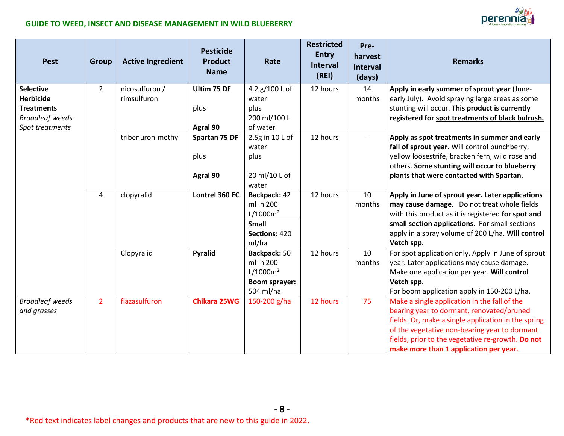| <b>Pest</b>                          | <b>Group</b>   | <b>Active Ingredient</b>      | <b>Pesticide</b><br><b>Product</b><br><b>Name</b> | Rate                      | <b>Restricted</b><br><b>Entry</b><br><b>Interval</b><br>(REI) | Pre-<br>harvest<br><b>Interval</b><br>(days) | <b>Remarks</b>                                                                                   |
|--------------------------------------|----------------|-------------------------------|---------------------------------------------------|---------------------------|---------------------------------------------------------------|----------------------------------------------|--------------------------------------------------------------------------------------------------|
| <b>Selective</b><br><b>Herbicide</b> | $\overline{2}$ | nicosulfuron /<br>rimsulfuron | Ultim 75 DF                                       | 4.2 g/100 L of<br>water   | 12 hours                                                      | 14<br>months                                 | Apply in early summer of sprout year (June-<br>early July). Avoid spraying large areas as some   |
| <b>Treatments</b>                    |                |                               | plus                                              | plus                      |                                                               |                                              | stunting will occur. This product is currently                                                   |
| Broadleaf weeds-                     |                |                               |                                                   | 200 ml/100 L              |                                                               |                                              | registered for spot treatments of black bulrush.                                                 |
| Spot treatments                      |                |                               | Agral 90                                          | of water                  |                                                               |                                              |                                                                                                  |
|                                      |                | tribenuron-methyl             | Spartan 75 DF                                     | 2.5g in 10 L of<br>water  | 12 hours                                                      |                                              | Apply as spot treatments in summer and early<br>fall of sprout year. Will control bunchberry,    |
|                                      |                |                               | plus                                              | plus                      |                                                               |                                              | yellow loosestrife, bracken fern, wild rose and<br>others. Some stunting will occur to blueberry |
|                                      |                |                               | Agral 90                                          | 20 ml/10 L of             |                                                               |                                              | plants that were contacted with Spartan.                                                         |
|                                      | 4              | clopyralid                    | Lontrel 360 EC                                    | water<br>Backpack: 42     | 12 hours                                                      | 10                                           | Apply in June of sprout year. Later applications                                                 |
|                                      |                |                               |                                                   | ml in 200                 |                                                               | months                                       | may cause damage. Do not treat whole fields                                                      |
|                                      |                |                               |                                                   | $L/1000m^2$               |                                                               |                                              | with this product as it is registered for spot and                                               |
|                                      |                |                               |                                                   | <b>Small</b>              |                                                               |                                              | small section applications. For small sections                                                   |
|                                      |                |                               |                                                   | Sections: 420             |                                                               |                                              | apply in a spray volume of 200 L/ha. Will control                                                |
|                                      |                |                               |                                                   | ml/ha                     |                                                               | 10                                           | Vetch spp.                                                                                       |
|                                      |                | Clopyralid                    | <b>Pyralid</b>                                    | Backpack: 50<br>ml in 200 | 12 hours                                                      | months                                       | For spot application only. Apply in June of sprout<br>year. Later applications may cause damage. |
|                                      |                |                               |                                                   | $L/1000m^2$               |                                                               |                                              | Make one application per year. Will control                                                      |
|                                      |                |                               |                                                   | <b>Boom sprayer:</b>      |                                                               |                                              | Vetch spp.                                                                                       |
|                                      |                |                               |                                                   | 504 ml/ha                 |                                                               |                                              | For boom application apply in 150-200 L/ha.                                                      |
| <b>Broadleaf weeds</b>               | $\overline{2}$ | flazasulfuron                 | <b>Chikara 25WG</b>                               | 150-200 g/ha              | 12 hours                                                      | 75                                           | Make a single application in the fall of the                                                     |
| and grasses                          |                |                               |                                                   |                           |                                                               |                                              | bearing year to dormant, renovated/pruned                                                        |
|                                      |                |                               |                                                   |                           |                                                               |                                              | fields. Or, make a single application in the spring                                              |
|                                      |                |                               |                                                   |                           |                                                               |                                              | of the vegetative non-bearing year to dormant                                                    |
|                                      |                |                               |                                                   |                           |                                                               |                                              | fields, prior to the vegetative re-growth. Do not                                                |
|                                      |                |                               |                                                   |                           |                                                               |                                              | make more than 1 application per year.                                                           |

**- 8 -**

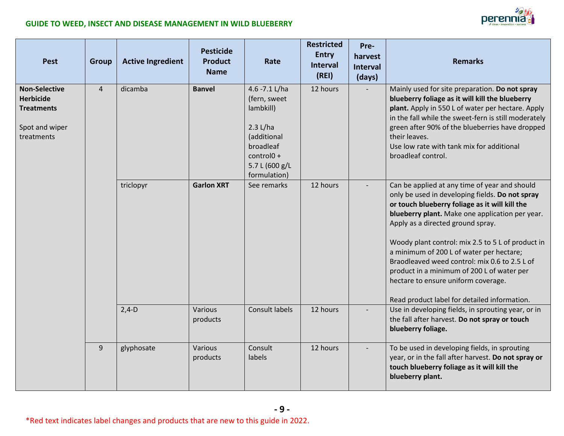| <b>Pest</b>                                                                                   | <b>Group</b>   | <b>Active Ingredient</b> | <b>Pesticide</b><br><b>Product</b><br><b>Name</b> | Rate                                                                                                                              | <b>Restricted</b><br><b>Entry</b><br><b>Interval</b><br>(REI) | Pre-<br>harvest<br><b>Interval</b><br>(days) | <b>Remarks</b>                                                                                                                                                                                                                                                                                                                                                                                                                                                                                                                    |
|-----------------------------------------------------------------------------------------------|----------------|--------------------------|---------------------------------------------------|-----------------------------------------------------------------------------------------------------------------------------------|---------------------------------------------------------------|----------------------------------------------|-----------------------------------------------------------------------------------------------------------------------------------------------------------------------------------------------------------------------------------------------------------------------------------------------------------------------------------------------------------------------------------------------------------------------------------------------------------------------------------------------------------------------------------|
| <b>Non-Selective</b><br><b>Herbicide</b><br><b>Treatments</b><br>Spot and wiper<br>treatments | $\overline{4}$ | dicamba                  | <b>Banvel</b>                                     | 4.6 -7.1 L/ha<br>(fern, sweet<br>lambkill)<br>2.3 L/ha<br>(additional<br>broadleaf<br>control0+<br>5.7 L (600 g/L<br>formulation) | 12 hours                                                      |                                              | Mainly used for site preparation. Do not spray<br>blueberry foliage as it will kill the blueberry<br>plant. Apply in 550 L of water per hectare. Apply<br>in the fall while the sweet-fern is still moderately<br>green after 90% of the blueberries have dropped<br>their leaves.<br>Use low rate with tank mix for additional<br>broadleaf control.                                                                                                                                                                             |
|                                                                                               |                | triclopyr                | <b>Garlon XRT</b>                                 | See remarks                                                                                                                       | 12 hours                                                      |                                              | Can be applied at any time of year and should<br>only be used in developing fields. Do not spray<br>or touch blueberry foliage as it will kill the<br>blueberry plant. Make one application per year.<br>Apply as a directed ground spray.<br>Woody plant control: mix 2.5 to 5 L of product in<br>a minimum of 200 L of water per hectare;<br>Braodleaved weed control: mix 0.6 to 2.5 L of<br>product in a minimum of 200 L of water per<br>hectare to ensure uniform coverage.<br>Read product label for detailed information. |
|                                                                                               |                | $2,4-D$                  | Various<br>products                               | Consult labels                                                                                                                    | 12 hours                                                      |                                              | Use in developing fields, in sprouting year, or in<br>the fall after harvest. Do not spray or touch<br>blueberry foliage.                                                                                                                                                                                                                                                                                                                                                                                                         |
|                                                                                               | 9              | glyphosate               | Various<br>products                               | Consult<br>labels                                                                                                                 | 12 hours                                                      |                                              | To be used in developing fields, in sprouting<br>year, or in the fall after harvest. Do not spray or<br>touch blueberry foliage as it will kill the<br>blueberry plant.                                                                                                                                                                                                                                                                                                                                                           |

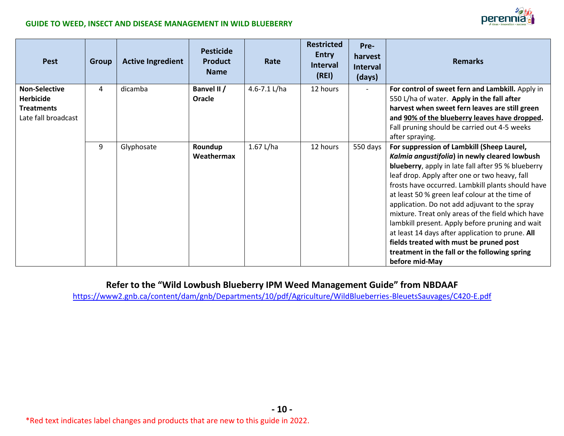

| <b>Pest</b>                                                                          | <b>Group</b> | <b>Active Ingredient</b> | <b>Pesticide</b><br><b>Product</b><br><b>Name</b> | Rate           | <b>Restricted</b><br><b>Entry</b><br>Interval<br>(REI) | Pre-<br>harvest<br><b>Interval</b><br>(days) | <b>Remarks</b>                                                                                                                                                                                                                                                                                                                                                                                                                                                                                                                                                                                                                       |
|--------------------------------------------------------------------------------------|--------------|--------------------------|---------------------------------------------------|----------------|--------------------------------------------------------|----------------------------------------------|--------------------------------------------------------------------------------------------------------------------------------------------------------------------------------------------------------------------------------------------------------------------------------------------------------------------------------------------------------------------------------------------------------------------------------------------------------------------------------------------------------------------------------------------------------------------------------------------------------------------------------------|
| <b>Non-Selective</b><br><b>Herbicide</b><br><b>Treatments</b><br>Late fall broadcast | 4            | dicamba                  | Banvel II /<br>Oracle                             | 4.6-7.1 $L/ha$ | 12 hours                                               | $\blacksquare$                               | For control of sweet fern and Lambkill. Apply in<br>550 L/ha of water. Apply in the fall after<br>harvest when sweet fern leaves are still green<br>and 90% of the blueberry leaves have dropped.<br>Fall pruning should be carried out 4-5 weeks<br>after spraying.                                                                                                                                                                                                                                                                                                                                                                 |
|                                                                                      | 9            | Glyphosate               | Roundup<br>Weathermax                             | $1.67$ L/ha    | 12 hours                                               | 550 days                                     | For suppression of Lambkill (Sheep Laurel,<br>Kalmia angustifolia) in newly cleared lowbush<br>blueberry, apply in late fall after 95 % blueberry<br>leaf drop. Apply after one or two heavy, fall<br>frosts have occurred. Lambkill plants should have<br>at least 50 % green leaf colour at the time of<br>application. Do not add adjuvant to the spray<br>mixture. Treat only areas of the field which have<br>lambkill present. Apply before pruning and wait<br>at least 14 days after application to prune. All<br>fields treated with must be pruned post<br>treatment in the fall or the following spring<br>before mid-May |

### **Refer to the "Wild Lowbush Blueberry IPM Weed Management Guide" from NBDAAF**

<https://www2.gnb.ca/content/dam/gnb/Departments/10/pdf/Agriculture/WildBlueberries-BleuetsSauvages/C420-E.pdf>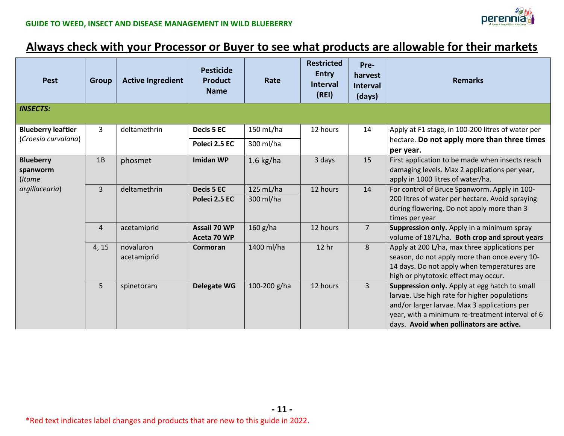

### **Always check with your Processor or Buyer to see what products are allowable for their markets**

| <b>Pest</b>                                      | <b>Group</b>   | <b>Active Ingredient</b> | <b>Pesticide</b><br><b>Product</b><br><b>Name</b> | Rate                   | <b>Restricted</b><br><b>Entry</b><br><b>Interval</b><br>(REI) | Pre-<br>harvest<br><b>Interval</b><br>(days) | <b>Remarks</b>                                                                                                                                                                                                                               |
|--------------------------------------------------|----------------|--------------------------|---------------------------------------------------|------------------------|---------------------------------------------------------------|----------------------------------------------|----------------------------------------------------------------------------------------------------------------------------------------------------------------------------------------------------------------------------------------------|
| <b>INSECTS:</b>                                  |                |                          |                                                   |                        |                                                               |                                              |                                                                                                                                                                                                                                              |
| <b>Blueberry leaftier</b><br>(Croesia curvalana) | $\mathbf{3}$   | deltamethrin             | Decis 5 EC<br>Poleci 2.5 EC                       | 150 mL/ha<br>300 ml/ha | 12 hours                                                      | 14                                           | Apply at F1 stage, in 100-200 litres of water per<br>hectare. Do not apply more than three times<br>per year.                                                                                                                                |
| <b>Blueberry</b><br>spanworm<br>(Itame           | 1B             | phosmet                  | <b>Imidan WP</b>                                  | $1.6$ kg/ha            | 3 days                                                        | 15                                           | First application to be made when insects reach<br>damaging levels. Max 2 applications per year,<br>apply in 1000 litres of water/ha.                                                                                                        |
| argillacearia)                                   | $\overline{3}$ | deltamethrin             | Decis 5 EC<br>Poleci 2.5 EC                       | 125 mL/ha<br>300 ml/ha | 12 hours                                                      | 14                                           | For control of Bruce Spanworm. Apply in 100-<br>200 litres of water per hectare. Avoid spraying<br>during flowering. Do not apply more than 3<br>times per year                                                                              |
|                                                  | $\overline{4}$ | acetamiprid              | Assail 70 WP<br>Aceta 70 WP                       | $160$ g/ha             | 12 hours                                                      | $\overline{7}$                               | Suppression only. Apply in a minimum spray<br>volume of 187L/ha. Both crop and sprout years                                                                                                                                                  |
|                                                  | 4, 15          | novaluron<br>acetamiprid | Cormoran                                          | 1400 ml/ha             | 12 <sub>hr</sub>                                              | 8                                            | Apply at 200 L/ha, max three applications per<br>season, do not apply more than once every 10-<br>14 days. Do not apply when temperatures are<br>high or phytotoxic effect may occur.                                                        |
|                                                  | 5 <sup>1</sup> | spinetoram               | <b>Delegate WG</b>                                | 100-200 g/ha           | 12 hours                                                      | $\overline{3}$                               | Suppression only. Apply at egg hatch to small<br>larvae. Use high rate for higher populations<br>and/or larger larvae. Max 3 applications per<br>year, with a minimum re-treatment interval of 6<br>days. Avoid when pollinators are active. |

**- 11 -**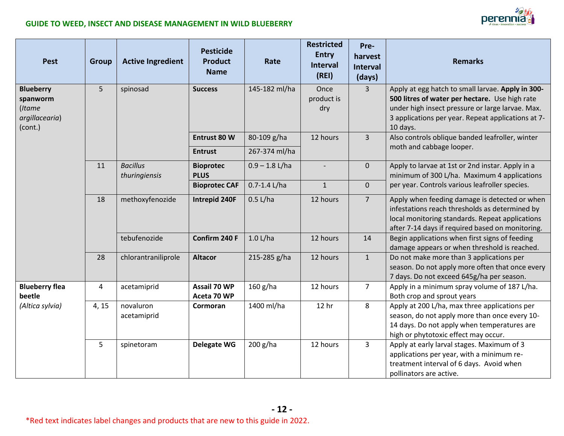

| <b>Pest</b>                                                         | <b>Group</b>   | <b>Active Ingredient</b>         | <b>Pesticide</b><br><b>Product</b><br><b>Name</b> | Rate                         | <b>Restricted</b><br><b>Entry</b><br>Interval<br>(REI) | Pre-<br>harvest<br><b>Interval</b><br>(days) | <b>Remarks</b>                                                                                                                                                                                                            |
|---------------------------------------------------------------------|----------------|----------------------------------|---------------------------------------------------|------------------------------|--------------------------------------------------------|----------------------------------------------|---------------------------------------------------------------------------------------------------------------------------------------------------------------------------------------------------------------------------|
| <b>Blueberry</b><br>spanworm<br>(Itame<br>argillacearia)<br>(cont.) | 5              | spinosad                         | <b>Success</b>                                    | 145-182 ml/ha                | Once<br>product is<br>dry                              | $\overline{3}$                               | Apply at egg hatch to small larvae. Apply in 300-<br>500 litres of water per hectare. Use high rate<br>under high insect pressure or large larvae. Max.<br>3 applications per year. Repeat applications at 7-<br>10 days. |
|                                                                     |                |                                  | Entrust 80 W<br><b>Entrust</b>                    | 80-109 g/ha<br>267-374 ml/ha | 12 hours                                               | $\overline{3}$                               | Also controls oblique banded leafroller, winter<br>moth and cabbage looper.                                                                                                                                               |
|                                                                     | 11             | <b>Bacillus</b><br>thuringiensis | <b>Bioprotec</b><br><b>PLUS</b>                   | $0.9 - 1.8$ L/ha             | $\overline{a}$                                         | $\overline{0}$                               | Apply to larvae at 1st or 2nd instar. Apply in a<br>minimum of 300 L/ha. Maximum 4 applications                                                                                                                           |
|                                                                     |                |                                  | <b>Bioprotec CAF</b>                              | $0.7 - 1.4$ L/ha             | $\mathbf{1}$                                           | $\overline{0}$                               | per year. Controls various leafroller species.                                                                                                                                                                            |
|                                                                     | 18             | methoxyfenozide                  | Intrepid 240F                                     | $0.5$ L/ha                   | 12 hours                                               | $\overline{7}$                               | Apply when feeding damage is detected or when<br>infestations reach thresholds as determined by<br>local monitoring standards. Repeat applications<br>after 7-14 days if required based on monitoring.                    |
|                                                                     |                | tebufenozide                     | Confirm 240 F                                     | $1.0$ L/ha                   | 12 hours                                               | 14                                           | Begin applications when first signs of feeding<br>damage appears or when threshold is reached.                                                                                                                            |
|                                                                     | 28             | chlorantraniliprole              | <b>Altacor</b>                                    | 215-285 g/ha                 | 12 hours                                               | $\mathbf{1}$                                 | Do not make more than 3 applications per<br>season. Do not apply more often that once every<br>7 days. Do not exceed 645g/ha per season.                                                                                  |
| <b>Blueberry flea</b><br>beetle                                     | $\overline{4}$ | acetamiprid                      | Assail 70 WP<br>Aceta 70 WP                       | 160 g/ha                     | 12 hours                                               | $\overline{7}$                               | Apply in a minimum spray volume of 187 L/ha.<br>Both crop and sprout years                                                                                                                                                |
| (Altica sylvia)                                                     | 4, 15          | novaluron<br>acetamiprid         | Cormoran                                          | 1400 ml/ha                   | 12 hr                                                  | 8                                            | Apply at 200 L/ha, max three applications per<br>season, do not apply more than once every 10-<br>14 days. Do not apply when temperatures are<br>high or phytotoxic effect may occur.                                     |
|                                                                     | 5              | spinetoram                       | <b>Delegate WG</b>                                | $200$ g/ha                   | 12 hours                                               | 3                                            | Apply at early larval stages. Maximum of 3<br>applications per year, with a minimum re-<br>treatment interval of 6 days. Avoid when<br>pollinators are active.                                                            |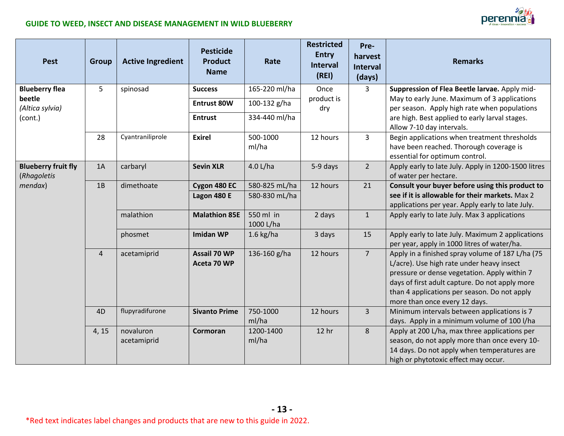| <b>Jerennia</b><br>ideas · innovation · su |
|--------------------------------------------|
|--------------------------------------------|

| <b>Pest</b>                               | <b>Group</b>   | <b>Active Ingredient</b> | <b>Pesticide</b><br><b>Product</b><br><b>Name</b> | Rate                   | <b>Restricted</b><br><b>Entry</b><br><b>Interval</b><br>(RE) | Pre-<br>harvest<br><b>Interval</b><br>(days) | <b>Remarks</b>                                                                                                                                                                                                                                                                   |
|-------------------------------------------|----------------|--------------------------|---------------------------------------------------|------------------------|--------------------------------------------------------------|----------------------------------------------|----------------------------------------------------------------------------------------------------------------------------------------------------------------------------------------------------------------------------------------------------------------------------------|
| <b>Blueberry flea</b>                     | 5              | spinosad                 | <b>Success</b>                                    | 165-220 ml/ha          | Once                                                         | 3                                            | Suppression of Flea Beetle larvae. Apply mid-                                                                                                                                                                                                                                    |
| beetle<br>(Altica sylvia)                 |                |                          | <b>Entrust 80W</b>                                | 100-132 g/ha           | product is<br>dry                                            |                                              | May to early June. Maximum of 3 applications<br>per season. Apply high rate when populations                                                                                                                                                                                     |
| (cont.)                                   |                |                          | <b>Entrust</b>                                    | 334-440 ml/ha          |                                                              |                                              | are high. Best applied to early larval stages.<br>Allow 7-10 day intervals.                                                                                                                                                                                                      |
|                                           | 28             | Cyantraniliprole         | <b>Exirel</b>                                     | 500-1000<br>ml/ha      | 12 hours                                                     | $\overline{3}$                               | Begin applications when treatment thresholds<br>have been reached. Thorough coverage is<br>essential for optimum control.                                                                                                                                                        |
| <b>Blueberry fruit fly</b><br>(Rhagoletis | 1A             | carbaryl                 | <b>Sevin XLR</b>                                  | 4.0 L/ha               | 5-9 days                                                     | $2^{\circ}$                                  | Apply early to late July. Apply in 1200-1500 litres<br>of water per hectare.                                                                                                                                                                                                     |
| mendax)                                   | 1B             | dimethoate               | Cygon 480 EC                                      | 580-825 mL/ha          | 12 hours                                                     | 21                                           | Consult your buyer before using this product to                                                                                                                                                                                                                                  |
|                                           |                |                          | Lagon 480 E                                       | 580-830 mL/ha          |                                                              |                                              | see if it is allowable for their markets. Max 2<br>applications per year. Apply early to late July.                                                                                                                                                                              |
|                                           |                | malathion                | <b>Malathion 85E</b>                              | 550 ml in<br>1000 L/ha | 2 days                                                       | $\mathbf{1}$                                 | Apply early to late July. Max 3 applications                                                                                                                                                                                                                                     |
|                                           |                | phosmet                  | <b>Imidan WP</b>                                  | $1.6$ kg/ha            | 3 days                                                       | 15                                           | Apply early to late July. Maximum 2 applications<br>per year, apply in 1000 litres of water/ha.                                                                                                                                                                                  |
|                                           | $\overline{4}$ | acetamiprid              | Assail 70 WP<br>Aceta 70 WP                       | 136-160 g/ha           | 12 hours                                                     | 7 <sup>1</sup>                               | Apply in a finished spray volume of 187 L/ha (75<br>L/acre). Use high rate under heavy insect<br>pressure or dense vegetation. Apply within 7<br>days of first adult capture. Do not apply more<br>than 4 applications per season. Do not apply<br>more than once every 12 days. |
|                                           | 4D             | flupyradifurone          | <b>Sivanto Prime</b>                              | 750-1000<br>ml/ha      | 12 hours                                                     | 3 <sup>1</sup>                               | Minimum intervals between applications is 7<br>days. Apply in a minimum volume of 100 l/ha                                                                                                                                                                                       |
|                                           | 4, 15          | novaluron<br>acetamiprid | Cormoran                                          | 1200-1400<br>ml/ha     | 12 <sub>hr</sub>                                             | 8                                            | Apply at 200 L/ha, max three applications per<br>season, do not apply more than once every 10-<br>14 days. Do not apply when temperatures are<br>high or phytotoxic effect may occur.                                                                                            |

**- 13 -**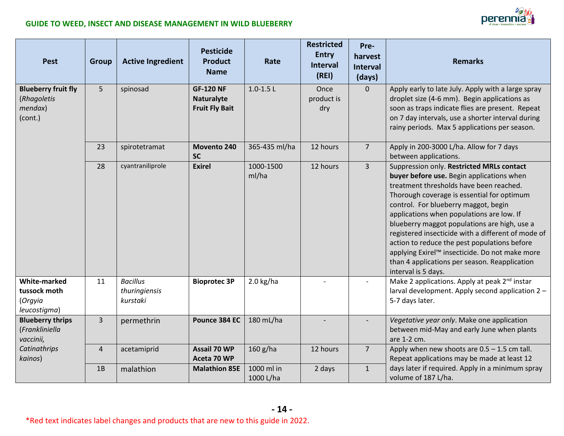

| <b>Pest</b>                                                           | <b>Group</b>   | <b>Active Ingredient</b>                     | <b>Pesticide</b><br>Product<br><b>Name</b>                     | Rate                    | <b>Restricted</b><br><b>Entry</b><br><b>Interval</b><br>(REI) | Pre-<br>harvest<br><b>Interval</b><br>(days) | <b>Remarks</b>                                                                                                                                                                                                                                                                                                                                                                                                                                                                                                                                       |
|-----------------------------------------------------------------------|----------------|----------------------------------------------|----------------------------------------------------------------|-------------------------|---------------------------------------------------------------|----------------------------------------------|------------------------------------------------------------------------------------------------------------------------------------------------------------------------------------------------------------------------------------------------------------------------------------------------------------------------------------------------------------------------------------------------------------------------------------------------------------------------------------------------------------------------------------------------------|
| <b>Blueberry fruit fly</b><br>(Rhagoletis<br>$m$ endax $)$<br>(cont.) | 5              | spinosad                                     | <b>GF-120 NF</b><br><b>Naturalyte</b><br><b>Fruit Fly Bait</b> | $1.0 - 1.5$ L           | Once<br>product is<br>dry                                     | $\overline{0}$                               | Apply early to late July. Apply with a large spray<br>droplet size (4-6 mm). Begin applications as<br>soon as traps indicate flies are present. Repeat<br>on 7 day intervals, use a shorter interval during<br>rainy periods. Max 5 applications per season.                                                                                                                                                                                                                                                                                         |
|                                                                       | 23             | spirotetramat                                | Movento 240<br><b>SC</b>                                       | 365-435 ml/ha           | 12 hours                                                      | 7 <sup>1</sup>                               | Apply in 200-3000 L/ha. Allow for 7 days<br>between applications.                                                                                                                                                                                                                                                                                                                                                                                                                                                                                    |
|                                                                       | 28             | cyantraniliprole                             | <b>Exirel</b>                                                  | 1000-1500<br>ml/ha      | 12 hours                                                      | $\overline{3}$                               | Suppression only. Restricted MRLs contact<br>buyer before use. Begin applications when<br>treatment thresholds have been reached.<br>Thorough coverage is essential for optimum<br>control. For blueberry maggot, begin<br>applications when populations are low. If<br>blueberry maggot populations are high, use a<br>registered insecticide with a different of mode of<br>action to reduce the pest populations before<br>applying Exirel™ insecticide. Do not make more<br>than 4 applications per season. Reapplication<br>interval is 5 days. |
| <b>White-marked</b><br>tussock moth<br>(Orgyia<br>leucostigma)        | 11             | <b>Bacillus</b><br>thuringiensis<br>kurstaki | <b>Bioprotec 3P</b>                                            | $2.0$ kg/ha             |                                                               |                                              | Make 2 applications. Apply at peak 2 <sup>nd</sup> instar<br>larval development. Apply second application 2 -<br>5-7 days later.                                                                                                                                                                                                                                                                                                                                                                                                                     |
| <b>Blueberry thrips</b><br>(Frankliniella<br>vaccinii,                | $\mathbf{3}$   | permethrin                                   | Pounce 384 EC                                                  | 180 mL/ha               |                                                               |                                              | Vegetative year only. Make one application<br>between mid-May and early June when plants<br>are 1-2 cm.                                                                                                                                                                                                                                                                                                                                                                                                                                              |
| Catinathrips<br>kainos)                                               | $\overline{4}$ | acetamiprid                                  | <b>Assail 70 WP</b><br>Aceta 70 WP                             | 160 g/ha                | 12 hours                                                      | $\overline{7}$                               | Apply when new shoots are $0.5 - 1.5$ cm tall.<br>Repeat applications may be made at least 12                                                                                                                                                                                                                                                                                                                                                                                                                                                        |
|                                                                       | 1B             | malathion                                    | <b>Malathion 85E</b>                                           | 1000 ml in<br>1000 L/ha | 2 days                                                        | $\mathbf{1}$                                 | days later if required. Apply in a minimum spray<br>volume of 187 L/ha.                                                                                                                                                                                                                                                                                                                                                                                                                                                                              |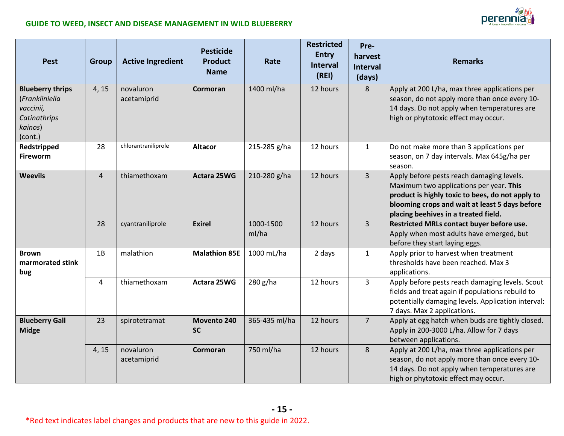

| <b>Pest</b>                                                                                  | Group          | <b>Active Ingredient</b> | <b>Pesticide</b><br>Product<br><b>Name</b> | Rate               | <b>Restricted</b><br><b>Entry</b><br><b>Interval</b><br>(REI) | Pre-<br>harvest<br><b>Interval</b><br>(days) | <b>Remarks</b>                                                                                                                                                                                                                     |
|----------------------------------------------------------------------------------------------|----------------|--------------------------|--------------------------------------------|--------------------|---------------------------------------------------------------|----------------------------------------------|------------------------------------------------------------------------------------------------------------------------------------------------------------------------------------------------------------------------------------|
| <b>Blueberry thrips</b><br>(Frankliniella<br>vaccinii,<br>Catinathrips<br>kainos)<br>(cont.) | 4, 15          | novaluron<br>acetamiprid | Cormoran                                   | 1400 ml/ha         | 12 hours                                                      | 8                                            | Apply at 200 L/ha, max three applications per<br>season, do not apply more than once every 10-<br>14 days. Do not apply when temperatures are<br>high or phytotoxic effect may occur.                                              |
| Redstripped<br><b>Fireworm</b>                                                               | 28             | chlorantraniliprole      | <b>Altacor</b>                             | 215-285 g/ha       | 12 hours                                                      | $\mathbf{1}$                                 | Do not make more than 3 applications per<br>season, on 7 day intervals. Max 645g/ha per<br>season.                                                                                                                                 |
| <b>Weevils</b>                                                                               | $\overline{4}$ | thiamethoxam             | <b>Actara 25WG</b>                         | 210-280 g/ha       | 12 hours                                                      | $\overline{3}$                               | Apply before pests reach damaging levels.<br>Maximum two applications per year. This<br>product is highly toxic to bees, do not apply to<br>blooming crops and wait at least 5 days before<br>placing beehives in a treated field. |
|                                                                                              | 28             | cyantraniliprole         | <b>Exirel</b>                              | 1000-1500<br>ml/ha | 12 hours                                                      | $\overline{3}$                               | Restricted MRLs contact buyer before use.<br>Apply when most adults have emerged, but<br>before they start laying eggs.                                                                                                            |
| <b>Brown</b><br>marmorated stink<br>bug                                                      | 1B             | malathion                | <b>Malathion 85E</b>                       | 1000 mL/ha         | 2 days                                                        | $\mathbf{1}$                                 | Apply prior to harvest when treatment<br>thresholds have been reached. Max 3<br>applications.                                                                                                                                      |
|                                                                                              | $\overline{4}$ | thiamethoxam             | Actara 25WG                                | 280 g/ha           | 12 hours                                                      | $\overline{3}$                               | Apply before pests reach damaging levels. Scout<br>fields and treat again if populations rebuild to<br>potentially damaging levels. Application interval:<br>7 days. Max 2 applications.                                           |
| <b>Blueberry Gall</b><br><b>Midge</b>                                                        | 23             | spirotetramat            | Movento 240<br><b>SC</b>                   | 365-435 ml/ha      | 12 hours                                                      | 7 <sup>1</sup>                               | Apply at egg hatch when buds are tightly closed.<br>Apply in 200-3000 L/ha. Allow for 7 days<br>between applications.                                                                                                              |
|                                                                                              | 4, 15          | novaluron<br>acetamiprid | Cormoran                                   | 750 ml/ha          | 12 hours                                                      | 8                                            | Apply at 200 L/ha, max three applications per<br>season, do not apply more than once every 10-<br>14 days. Do not apply when temperatures are<br>high or phytotoxic effect may occur.                                              |

**- 15 -**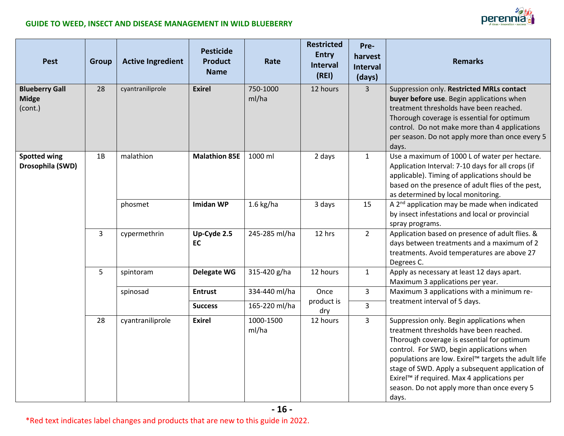| <b>Pest</b>                                      | <b>Group</b> | <b>Active Ingredient</b> | <b>Pesticide</b><br><b>Product</b><br><b>Name</b> | Rate               | <b>Restricted</b><br><b>Entry</b><br><b>Interval</b><br>(REI) | Pre-<br>harvest<br><b>Interval</b><br>(days) | <b>Remarks</b>                                                                                                                                                                                                                                                                                                                                                                                   |
|--------------------------------------------------|--------------|--------------------------|---------------------------------------------------|--------------------|---------------------------------------------------------------|----------------------------------------------|--------------------------------------------------------------------------------------------------------------------------------------------------------------------------------------------------------------------------------------------------------------------------------------------------------------------------------------------------------------------------------------------------|
| <b>Blueberry Gall</b><br><b>Midge</b><br>(cont.) | 28           | cyantraniliprole         | <b>Exirel</b>                                     | 750-1000<br>ml/ha  | 12 hours                                                      | $\overline{3}$                               | Suppression only. Restricted MRLs contact<br>buyer before use. Begin applications when<br>treatment thresholds have been reached.<br>Thorough coverage is essential for optimum<br>control. Do not make more than 4 applications<br>per season. Do not apply more than once every 5<br>days.                                                                                                     |
| <b>Spotted wing</b><br>Drosophila (SWD)          | 1B           | malathion                | <b>Malathion 85E</b>                              | 1000 ml            | 2 days                                                        | $\mathbf{1}$                                 | Use a maximum of 1000 L of water per hectare.<br>Application Interval: 7-10 days for all crops (if<br>applicable). Timing of applications should be<br>based on the presence of adult flies of the pest,<br>as determined by local monitoring.                                                                                                                                                   |
|                                                  |              | phosmet                  | <b>Imidan WP</b>                                  | $1.6$ kg/ha        | 3 days                                                        | 15                                           | A 2 <sup>nd</sup> application may be made when indicated<br>by insect infestations and local or provincial<br>spray programs.                                                                                                                                                                                                                                                                    |
|                                                  | 3            | cypermethrin             | Up-Cyde 2.5<br>EC                                 | 245-285 ml/ha      | 12 hrs                                                        | $\overline{2}$                               | Application based on presence of adult flies. &<br>days between treatments and a maximum of 2<br>treatments. Avoid temperatures are above 27<br>Degrees C.                                                                                                                                                                                                                                       |
|                                                  | 5            | spintoram                | <b>Delegate WG</b>                                | 315-420 g/ha       | 12 hours                                                      | $\mathbf{1}$                                 | Apply as necessary at least 12 days apart.<br>Maximum 3 applications per year.                                                                                                                                                                                                                                                                                                                   |
|                                                  |              | spinosad                 | <b>Entrust</b>                                    | 334-440 ml/ha      | Once<br>product is                                            | $\overline{3}$                               | Maximum 3 applications with a minimum re-<br>treatment interval of 5 days.                                                                                                                                                                                                                                                                                                                       |
|                                                  |              |                          | <b>Success</b>                                    | 165-220 ml/ha      | dry                                                           | $\overline{3}$                               |                                                                                                                                                                                                                                                                                                                                                                                                  |
|                                                  | 28           | cyantraniliprole         | <b>Exirel</b>                                     | 1000-1500<br>ml/ha | 12 hours                                                      | $\overline{3}$                               | Suppression only. Begin applications when<br>treatment thresholds have been reached.<br>Thorough coverage is essential for optimum<br>control. For SWD, begin applications when<br>populations are low. Exirel™ targets the adult life<br>stage of SWD. Apply a subsequent application of<br>Exirel™ if required. Max 4 applications per<br>season. Do not apply more than once every 5<br>days. |

 $z_0$ 

perennia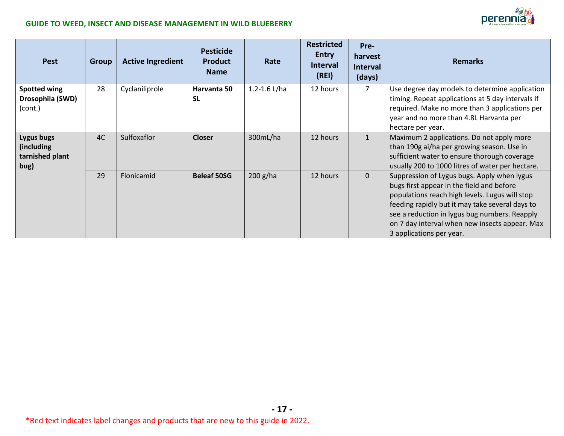

| <b>Pest</b>                                         | <b>Group</b> | <b>Active Ingredient</b> | <b>Pesticide</b><br><b>Product</b><br><b>Name</b> | Rate           | <b>Restricted</b><br><b>Entry</b><br><b>Interval</b><br>(REI) | Pre-<br>harvest<br><b>Interval</b><br>(days) | <b>Remarks</b>                                                                                                                                                                                                                                                                                                               |
|-----------------------------------------------------|--------------|--------------------------|---------------------------------------------------|----------------|---------------------------------------------------------------|----------------------------------------------|------------------------------------------------------------------------------------------------------------------------------------------------------------------------------------------------------------------------------------------------------------------------------------------------------------------------------|
| <b>Spotted wing</b><br>Drosophila (SWD)<br>(cont.)  | 28           | Cyclaniliprole           | Harvanta 50<br><b>SL</b>                          | 1.2-1.6 $L/ha$ | 12 hours                                                      | 7                                            | Use degree day models to determine application<br>timing. Repeat applications at 5 day intervals if<br>required. Make no more than 3 applications per<br>year and no more than 4.8L Harvanta per<br>hectare per year.                                                                                                        |
| Lygus bugs<br>(including<br>tarnished plant<br>bug) | 4C           | Sulfoxaflor              | <b>Closer</b>                                     | 300mL/ha       | 12 hours                                                      |                                              | Maximum 2 applications. Do not apply more<br>than 190g ai/ha per growing season. Use in<br>sufficient water to ensure thorough coverage<br>usually 200 to 1000 litres of water per hectare.                                                                                                                                  |
|                                                     | 29           | Flonicamid               | <b>Beleaf 50SG</b>                                | $200$ g/ha     | 12 hours                                                      | $\overline{0}$                               | Suppression of Lygus bugs. Apply when lygus<br>bugs first appear in the field and before<br>populations reach high levels. Lugus will stop<br>feeding rapidly but it may take several days to<br>see a reduction in lygus bug numbers. Reapply<br>on 7 day interval when new insects appear. Max<br>3 applications per year. |

**- 17 -**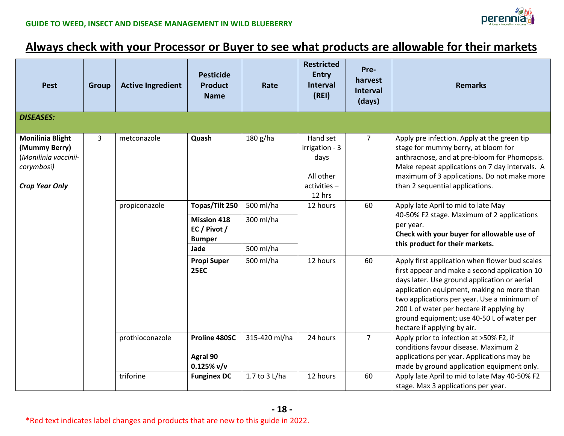

### **Always check with your Processor or Buyer to see what products are allowable for their markets**

| <b>Pest</b>                                                                                             | <b>Group</b> | <b>Active Ingredient</b> | <b>Pesticide</b><br><b>Product</b><br><b>Name</b>   | Rate          | <b>Restricted</b><br><b>Entry</b><br><b>Interval</b><br>(REI)            | Pre-<br>harvest<br><b>Interval</b><br>(days) | <b>Remarks</b>                                                                                                                                                                                                                                                                                                                                                         |
|---------------------------------------------------------------------------------------------------------|--------------|--------------------------|-----------------------------------------------------|---------------|--------------------------------------------------------------------------|----------------------------------------------|------------------------------------------------------------------------------------------------------------------------------------------------------------------------------------------------------------------------------------------------------------------------------------------------------------------------------------------------------------------------|
| <b>DISEASES:</b>                                                                                        |              |                          |                                                     |               |                                                                          |                                              |                                                                                                                                                                                                                                                                                                                                                                        |
| <b>Monilinia Blight</b><br>(Mummy Berry)<br>(Monilinia vaccinii-<br>corymbosi)<br><b>Crop Year Only</b> | 3            | metconazole              | Quash                                               | 180 g/ha      | Hand set<br>irrigation - 3<br>days<br>All other<br>activities-<br>12 hrs | $\overline{7}$                               | Apply pre infection. Apply at the green tip<br>stage for mummy berry, at bloom for<br>anthracnose, and at pre-bloom for Phomopsis.<br>Make repeat applications on 7 day intervals. A<br>maximum of 3 applications. Do not make more<br>than 2 sequential applications.                                                                                                 |
|                                                                                                         |              | propiconazole            | Topas/Tilt 250                                      | 500 ml/ha     | 60<br>12 hours                                                           |                                              | Apply late April to mid to late May<br>40-50% F2 stage. Maximum of 2 applications<br>per year.<br>Check with your buyer for allowable use of<br>this product for their markets.                                                                                                                                                                                        |
|                                                                                                         |              |                          | <b>Mission 418</b><br>EC / Pivot /<br><b>Bumper</b> | 300 ml/ha     |                                                                          |                                              |                                                                                                                                                                                                                                                                                                                                                                        |
|                                                                                                         |              |                          | Jade                                                | 500 ml/ha     |                                                                          |                                              |                                                                                                                                                                                                                                                                                                                                                                        |
|                                                                                                         |              |                          | <b>Propi Super</b><br><b>25EC</b>                   | 500 ml/ha     | 12 hours                                                                 | 60                                           | Apply first application when flower bud scales<br>first appear and make a second application 10<br>days later. Use ground application or aerial<br>application equipment, making no more than<br>two applications per year. Use a minimum of<br>200 L of water per hectare if applying by<br>ground equipment; use 40-50 L of water per<br>hectare if applying by air. |
|                                                                                                         |              | prothioconazole          | Proline 480SC<br>Agral 90<br>$0.125\%$ v/v          | 315-420 ml/ha | 24 hours                                                                 | $\overline{7}$                               | Apply prior to infection at >50% F2, if<br>conditions favour disease. Maximum 2<br>applications per year. Applications may be<br>made by ground application equipment only.                                                                                                                                                                                            |
|                                                                                                         |              | triforine                | <b>Funginex DC</b>                                  | 1.7 to 3 L/ha | 12 hours                                                                 | 60                                           | Apply late April to mid to late May 40-50% F2<br>stage. Max 3 applications per year.                                                                                                                                                                                                                                                                                   |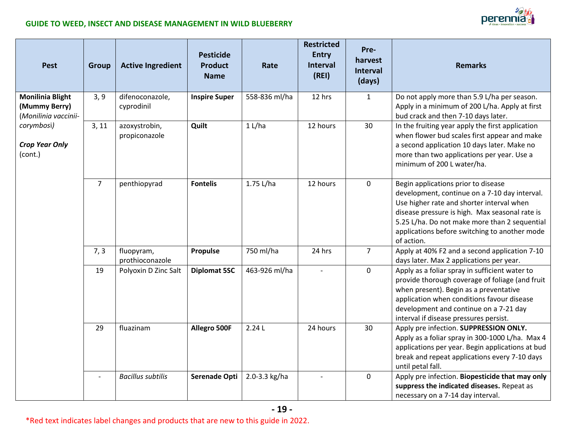

| <b>Pest</b>                                                                                                        | Group          | <b>Active Ingredient</b>       | <b>Pesticide</b><br><b>Product</b><br><b>Name</b> | Rate          | <b>Restricted</b><br><b>Entry</b><br><b>Interval</b><br>(REI) | Pre-<br>harvest<br><b>Interval</b><br>(days) | <b>Remarks</b>                                                                                                                                                                                                                                                                                      |
|--------------------------------------------------------------------------------------------------------------------|----------------|--------------------------------|---------------------------------------------------|---------------|---------------------------------------------------------------|----------------------------------------------|-----------------------------------------------------------------------------------------------------------------------------------------------------------------------------------------------------------------------------------------------------------------------------------------------------|
| <b>Monilinia Blight</b><br>(Mummy Berry)<br>(Monilinia vaccinii-<br>corymbosi)<br><b>Crop Year Only</b><br>(cont.) | 3, 9           | difenoconazole,<br>cyprodinil  | <b>Inspire Super</b>                              | 558-836 ml/ha | 12 hrs                                                        | $\mathbf{1}$                                 | Do not apply more than 5.9 L/ha per season.<br>Apply in a minimum of 200 L/ha. Apply at first<br>bud crack and then 7-10 days later.                                                                                                                                                                |
|                                                                                                                    | 3, 11          | azoxystrobin,<br>propiconazole | Quilt                                             | 1 L/ha        | 12 hours                                                      | 30                                           | In the fruiting year apply the first application<br>when flower bud scales first appear and make<br>a second application 10 days later. Make no<br>more than two applications per year. Use a<br>minimum of 200 L water/ha.                                                                         |
|                                                                                                                    | $\overline{7}$ | penthiopyrad                   | <b>Fontelis</b>                                   | $1.75$ L/ha   | 12 hours                                                      | $\mathbf 0$                                  | Begin applications prior to disease<br>development, continue on a 7-10 day interval.<br>Use higher rate and shorter interval when<br>disease pressure is high. Max seasonal rate is<br>5.25 L/ha. Do not make more than 2 sequential<br>applications before switching to another mode<br>of action. |
|                                                                                                                    | 7, 3           | fluopyram,<br>prothioconazole  | Propulse                                          | 750 ml/ha     | 24 hrs                                                        | $\overline{7}$                               | Apply at 40% F2 and a second application 7-10<br>days later. Max 2 applications per year.                                                                                                                                                                                                           |
|                                                                                                                    | 19             | Polyoxin D Zinc Salt           | <b>Diplomat 5SC</b>                               | 463-926 ml/ha |                                                               | $\mathbf 0$                                  | Apply as a foliar spray in sufficient water to<br>provide thorough coverage of foliage (and fruit<br>when present). Begin as a preventative<br>application when conditions favour disease<br>development and continue on a 7-21 day<br>interval if disease pressures persist.                       |
|                                                                                                                    | 29             | fluazinam                      | Allegro 500F                                      | 2.24L         | 24 hours                                                      | 30                                           | Apply pre infection. SUPPRESSION ONLY.<br>Apply as a foliar spray in 300-1000 L/ha. Max 4<br>applications per year. Begin applications at bud<br>break and repeat applications every 7-10 days<br>until petal fall.                                                                                 |
|                                                                                                                    |                | <b>Bacillus subtilis</b>       | Serenade Opti                                     | 2.0-3.3 kg/ha |                                                               | $\mathbf 0$                                  | Apply pre infection. Biopesticide that may only<br>suppress the indicated diseases. Repeat as<br>necessary on a 7-14 day interval.                                                                                                                                                                  |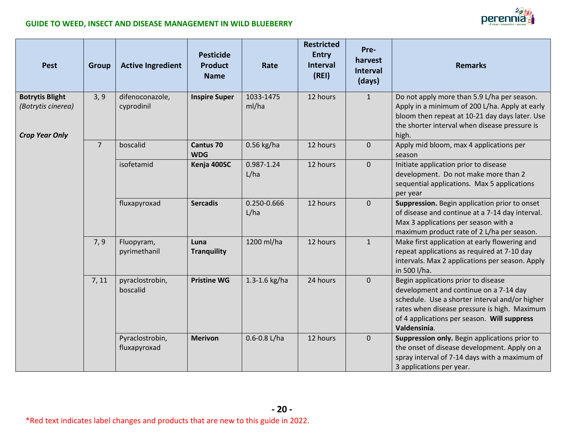

| <b>Pest</b>                                                           | <b>Group</b>   | <b>Active Ingredient</b>        | <b>Pesticide</b><br><b>Product</b><br><b>Name</b> | Rate                | <b>Restricted</b><br><b>Entry</b><br><b>Interval</b><br>(REI) | Pre-<br>harvest<br><b>Interval</b><br>(days) | <b>Remarks</b>                                                                                                                                                                                                                                 |
|-----------------------------------------------------------------------|----------------|---------------------------------|---------------------------------------------------|---------------------|---------------------------------------------------------------|----------------------------------------------|------------------------------------------------------------------------------------------------------------------------------------------------------------------------------------------------------------------------------------------------|
| <b>Botrytis Blight</b><br>(Botrytis cinerea)<br><b>Crop Year Only</b> | 3, 9           | difenoconazole,<br>cyprodinil   | <b>Inspire Super</b>                              | 1033-1475<br>ml/ha  | 12 hours                                                      | $\mathbf{1}$                                 | Do not apply more than 5.9 L/ha per season.<br>Apply in a minimum of 200 L/ha. Apply at early<br>bloom then repeat at 10-21 day days later. Use<br>the shorter interval when disease pressure is<br>high.                                      |
|                                                                       | $\overline{7}$ | boscalid                        | <b>Cantus 70</b><br><b>WDG</b>                    | 0.56 kg/ha          | 12 hours                                                      | $\mathbf{0}$                                 | Apply mid bloom, max 4 applications per<br>season                                                                                                                                                                                              |
|                                                                       |                | isofetamid                      | Kenja 400SC                                       | 0.987-1.24<br>L/ha  | 12 hours                                                      | $\pmb{0}$                                    | Initiate application prior to disease<br>development. Do not make more than 2<br>sequential applications. Max 5 applications<br>per year                                                                                                       |
|                                                                       |                | fluxapyroxad                    | <b>Sercadis</b>                                   | 0.250-0.666<br>L/ha | 12 hours                                                      | $\mathbf{0}$                                 | Suppression. Begin application prior to onset<br>of disease and continue at a 7-14 day interval.<br>Max 3 applications per season with a<br>maximum product rate of 2 L/ha per season.                                                         |
|                                                                       | 7, 9           | Fluopyram,<br>pyrimethanil      | Luna<br><b>Tranquility</b>                        | 1200 ml/ha          | 12 hours                                                      | $\mathbf{1}$                                 | Make first application at early flowering and<br>repeat applications as required at 7-10 day<br>intervals. Max 2 applications per season. Apply<br>in 500 l/ha.                                                                                |
|                                                                       | 7, 11          | pyraclostrobin,<br>boscalid     | <b>Pristine WG</b>                                | 1.3-1.6 kg/ha       | 24 hours                                                      | $\mathbf 0$                                  | Begin applications prior to disease<br>development and continue on a 7-14 day<br>schedule. Use a shorter interval and/or higher<br>rates when disease pressure is high. Maximum<br>of 4 applications per season. Will suppress<br>Valdensinia. |
|                                                                       |                | Pyraclostrobin,<br>fluxapyroxad | <b>Merivon</b>                                    | $0.6 - 0.8$ L/ha    | 12 hours                                                      | $\mathbf 0$                                  | Suppression only. Begin applications prior to<br>the onset of disease development. Apply on a<br>spray interval of 7-14 days with a maximum of<br>3 applications per year.                                                                     |

**- 20 -**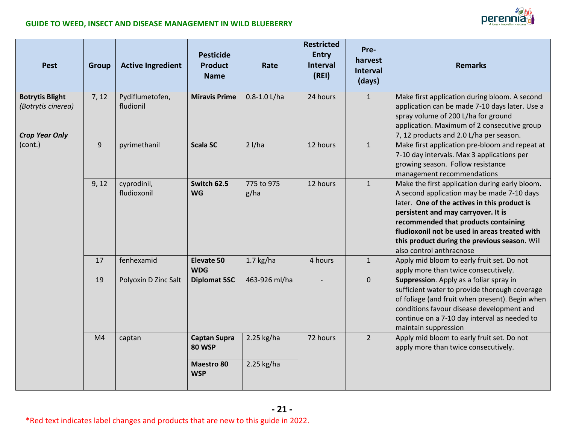

| <b>Pest</b>                                                           | <b>Group</b>   | <b>Active Ingredient</b>     | <b>Pesticide</b><br><b>Product</b><br><b>Name</b> | Rate               | <b>Restricted</b><br><b>Entry</b><br><b>Interval</b><br>(REI) | Pre-<br>harvest<br><b>Interval</b><br>(days) | <b>Remarks</b>                                                                                                                                                                                                                                                                                                                                            |
|-----------------------------------------------------------------------|----------------|------------------------------|---------------------------------------------------|--------------------|---------------------------------------------------------------|----------------------------------------------|-----------------------------------------------------------------------------------------------------------------------------------------------------------------------------------------------------------------------------------------------------------------------------------------------------------------------------------------------------------|
| <b>Botrytis Blight</b><br>(Botrytis cinerea)<br><b>Crop Year Only</b> | 7, 12          | Pydiflumetofen,<br>fludionil | <b>Miravis Prime</b>                              | $0.8 - 1.0$ L/ha   | 24 hours                                                      | $\mathbf{1}$                                 | Make first application during bloom. A second<br>application can be made 7-10 days later. Use a<br>spray volume of 200 L/ha for ground<br>application. Maximum of 2 consecutive group<br>7, 12 products and 2.0 L/ha per season.                                                                                                                          |
| (cont.)                                                               | 9              | pyrimethanil                 | <b>Scala SC</b>                                   | $2$ l/ha           | 12 hours                                                      | $\mathbf{1}$                                 | Make first application pre-bloom and repeat at<br>7-10 day intervals. Max 3 applications per<br>growing season. Follow resistance<br>management recommendations                                                                                                                                                                                           |
|                                                                       | 9, 12          | cyprodinil,<br>fludioxonil   | Switch 62.5<br><b>WG</b>                          | 775 to 975<br>g/ha | 12 hours                                                      | $\mathbf{1}$                                 | Make the first application during early bloom.<br>A second application may be made 7-10 days<br>later. One of the actives in this product is<br>persistent and may carryover. It is<br>recommended that products containing<br>fludioxonil not be used in areas treated with<br>this product during the previous season. Will<br>also control anthracnose |
|                                                                       | 17             | fenhexamid                   | Elevate 50<br><b>WDG</b>                          | $1.7$ kg/ha        | 4 hours                                                       | $\mathbf{1}$                                 | Apply mid bloom to early fruit set. Do not<br>apply more than twice consecutively.                                                                                                                                                                                                                                                                        |
|                                                                       | 19             | Polyoxin D Zinc Salt         | <b>Diplomat 5SC</b>                               | 463-926 ml/ha      |                                                               | $\mathbf 0$                                  | Suppression. Apply as a foliar spray in<br>sufficient water to provide thorough coverage<br>of foliage (and fruit when present). Begin when<br>conditions favour disease development and<br>continue on a 7-10 day interval as needed to<br>maintain suppression                                                                                          |
|                                                                       | M <sub>4</sub> | captan                       | <b>Captan Supra</b><br><b>80 WSP</b>              | 2.25 kg/ha         | 72 hours                                                      | $\overline{2}$                               | Apply mid bloom to early fruit set. Do not<br>apply more than twice consecutively.                                                                                                                                                                                                                                                                        |
|                                                                       |                |                              | <b>Maestro 80</b><br><b>WSP</b>                   | 2.25 kg/ha         |                                                               |                                              |                                                                                                                                                                                                                                                                                                                                                           |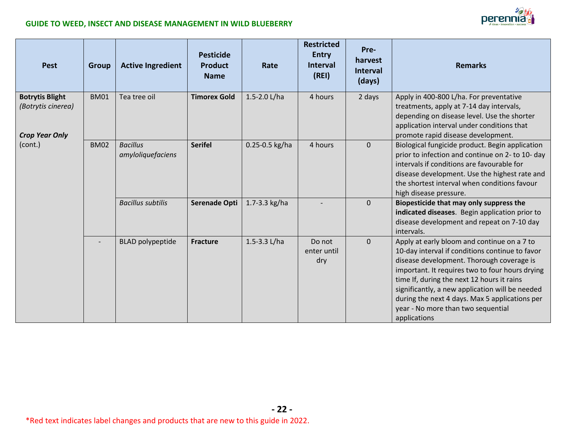

| <b>Pest</b>                                                           | <b>Group</b> | <b>Active Ingredient</b>             | <b>Pesticide</b><br>Product<br><b>Name</b> | Rate            | <b>Restricted</b><br><b>Entry</b><br><b>Interval</b><br>(REI) | Pre-<br>harvest<br><b>Interval</b><br>(days) | <b>Remarks</b>                                                                                                                                                                                                                                                                                                                                                                                          |
|-----------------------------------------------------------------------|--------------|--------------------------------------|--------------------------------------------|-----------------|---------------------------------------------------------------|----------------------------------------------|---------------------------------------------------------------------------------------------------------------------------------------------------------------------------------------------------------------------------------------------------------------------------------------------------------------------------------------------------------------------------------------------------------|
| <b>Botrytis Blight</b><br>(Botrytis cinerea)<br><b>Crop Year Only</b> | <b>BM01</b>  | Tea tree oil                         | <b>Timorex Gold</b>                        | 1.5-2.0 L/ha    | 4 hours                                                       | 2 days                                       | Apply in 400-800 L/ha. For preventative<br>treatments, apply at 7-14 day intervals,<br>depending on disease level. Use the shorter<br>application interval under conditions that<br>promote rapid disease development.                                                                                                                                                                                  |
| (cont.)                                                               | <b>BM02</b>  | <b>Bacillus</b><br>amyloliquefaciens | <b>Serifel</b>                             | 0.25-0.5 kg/ha  | 4 hours                                                       | $\overline{0}$                               | Biological fungicide product. Begin application<br>prior to infection and continue on 2- to 10- day<br>intervals if conditions are favourable for<br>disease development. Use the highest rate and<br>the shortest interval when conditions favour<br>high disease pressure.                                                                                                                            |
|                                                                       |              | <b>Bacillus subtilis</b>             | <b>Serenade Opti</b>                       | 1.7-3.3 $kg/ha$ |                                                               | $\overline{0}$                               | Biopesticide that may only suppress the<br>indicated diseases. Begin application prior to<br>disease development and repeat on 7-10 day<br>intervals.                                                                                                                                                                                                                                                   |
|                                                                       |              | <b>BLAD</b> polypeptide              | <b>Fracture</b>                            | 1.5-3.3 L/ha    | Do not<br>enter until<br>dry                                  | $\overline{0}$                               | Apply at early bloom and continue on a 7 to<br>10-day interval if conditions continue to favor<br>disease development. Thorough coverage is<br>important. It requires two to four hours drying<br>time If, during the next 12 hours it rains<br>significantly, a new application will be needed<br>during the next 4 days. Max 5 applications per<br>year - No more than two sequential<br>applications |

**- 22 -**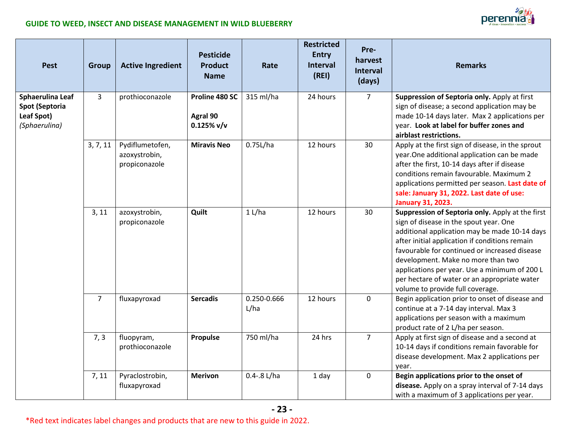

| <b>Pest</b>                                                              | <b>Group</b>   | <b>Active Ingredient</b>                          | <b>Pesticide</b><br><b>Product</b><br><b>Name</b> | Rate                | <b>Restricted</b><br><b>Entry</b><br><b>Interval</b><br>(REI) | Pre-<br>harvest<br><b>Interval</b><br>(days) | <b>Remarks</b>                                                                                                                                                                                                                                                                                                                                                                                                            |
|--------------------------------------------------------------------------|----------------|---------------------------------------------------|---------------------------------------------------|---------------------|---------------------------------------------------------------|----------------------------------------------|---------------------------------------------------------------------------------------------------------------------------------------------------------------------------------------------------------------------------------------------------------------------------------------------------------------------------------------------------------------------------------------------------------------------------|
| Sphaerulina Leaf<br><b>Spot (Septoria</b><br>Leaf Spot)<br>(Sphaerulina) | $\overline{3}$ | prothioconazole                                   | Proline 480 SC<br>Agral 90<br>$0.125\%$ v/v       | 315 ml/ha           | 24 hours                                                      | $\overline{7}$                               | Suppression of Septoria only. Apply at first<br>sign of disease; a second application may be<br>made 10-14 days later. Max 2 applications per<br>year. Look at label for buffer zones and<br>airblast restrictions.                                                                                                                                                                                                       |
|                                                                          | 3, 7, 11       | Pydiflumetofen,<br>azoxystrobin,<br>propiconazole | <b>Miravis Neo</b>                                | 0.75L/ha            | 12 hours                                                      | 30                                           | Apply at the first sign of disease, in the sprout<br>year. One additional application can be made<br>after the first, 10-14 days after if disease<br>conditions remain favourable. Maximum 2<br>applications permitted per season. Last date of<br>sale: January 31, 2022. Last date of use:<br><b>January 31, 2023.</b>                                                                                                  |
|                                                                          | 3, 11          | azoxystrobin,<br>propiconazole                    | Quilt                                             | 1 L/ha              | 12 hours                                                      | 30                                           | Suppression of Septoria only. Apply at the first<br>sign of disease in the spout year. One<br>additional application may be made 10-14 days<br>after initial application if conditions remain<br>favourable for continued or increased disease<br>development. Make no more than two<br>applications per year. Use a minimum of 200 L<br>per hectare of water or an appropriate water<br>volume to provide full coverage. |
|                                                                          | $\overline{7}$ | fluxapyroxad                                      | <b>Sercadis</b>                                   | 0.250-0.666<br>L/ha | 12 hours                                                      | $\mathbf 0$                                  | Begin application prior to onset of disease and<br>continue at a 7-14 day interval. Max 3<br>applications per season with a maximum<br>product rate of 2 L/ha per season.                                                                                                                                                                                                                                                 |
|                                                                          | 7, 3           | fluopyram,<br>prothioconazole                     | Propulse                                          | 750 ml/ha           | 24 hrs                                                        | $\overline{7}$                               | Apply at first sign of disease and a second at<br>10-14 days if conditions remain favorable for<br>disease development. Max 2 applications per<br>year.                                                                                                                                                                                                                                                                   |
|                                                                          | 7, 11          | Pyraclostrobin,<br>fluxapyroxad                   | <b>Merivon</b>                                    | $0.4 - 8$ L/ha      | 1 day                                                         | $\mathbf 0$                                  | Begin applications prior to the onset of<br>disease. Apply on a spray interval of 7-14 days<br>with a maximum of 3 applications per year.                                                                                                                                                                                                                                                                                 |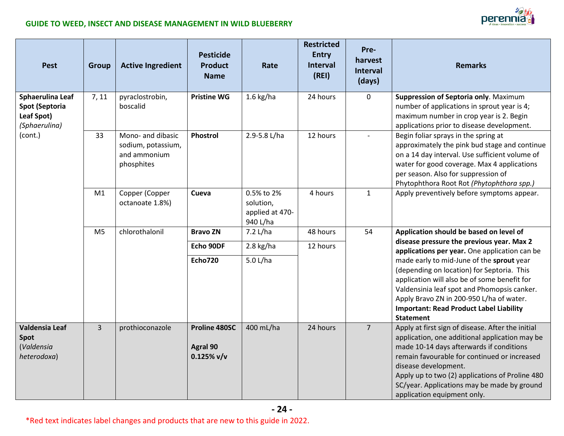

| <b>Pest</b>                                                       | <b>Group</b>   | <b>Active Ingredient</b>                                              | <b>Pesticide</b><br><b>Product</b><br><b>Name</b> | Rate                                                   | <b>Restricted</b><br><b>Entry</b><br><b>Interval</b><br>(REI) | Pre-<br>harvest<br><b>Interval</b><br>(days) | <b>Remarks</b>                                                                                                                                                                                                                                                                                                                                           |
|-------------------------------------------------------------------|----------------|-----------------------------------------------------------------------|---------------------------------------------------|--------------------------------------------------------|---------------------------------------------------------------|----------------------------------------------|----------------------------------------------------------------------------------------------------------------------------------------------------------------------------------------------------------------------------------------------------------------------------------------------------------------------------------------------------------|
| Sphaerulina Leaf<br>Spot (Septoria<br>Leaf Spot)<br>(Sphaerulina) | 7, 11          | pyraclostrobin,<br>boscalid                                           | <b>Pristine WG</b>                                | $1.6$ kg/ha                                            | 24 hours                                                      | $\mathbf 0$                                  | Suppression of Septoria only. Maximum<br>number of applications in sprout year is 4;<br>maximum number in crop year is 2. Begin<br>applications prior to disease development.                                                                                                                                                                            |
| (cont.)                                                           | 33             | Mono- and dibasic<br>sodium, potassium,<br>and ammonium<br>phosphites | Phostrol                                          | 2.9-5.8 L/ha                                           | 12 hours                                                      | $\overline{a}$                               | Begin foliar sprays in the spring at<br>approximately the pink bud stage and continue<br>on a 14 day interval. Use sufficient volume of<br>water for good coverage. Max 4 applications<br>per season. Also for suppression of<br>Phytophthora Root Rot (Phytophthora spp.)                                                                               |
|                                                                   | M1             | Copper (Copper<br>octanoate 1.8%)                                     | Cueva                                             | 0.5% to 2%<br>solution,<br>applied at 470-<br>940 L/ha | 4 hours                                                       | $\mathbf{1}$                                 | Apply preventively before symptoms appear.                                                                                                                                                                                                                                                                                                               |
|                                                                   | M <sub>5</sub> | chlorothalonil                                                        | <b>Bravo ZN</b>                                   | 7.2 L/ha                                               | 48 hours                                                      | 54                                           | Application should be based on level of                                                                                                                                                                                                                                                                                                                  |
|                                                                   |                |                                                                       | Echo 90DF                                         | $2.8$ kg/ha                                            | 12 hours                                                      |                                              | disease pressure the previous year. Max 2<br>applications per year. One application can be                                                                                                                                                                                                                                                               |
|                                                                   |                |                                                                       | <b>Echo720</b>                                    | 5.0 L/ha                                               |                                                               |                                              | made early to mid-June of the sprout year<br>(depending on location) for Septoria. This<br>application will also be of some benefit for<br>Valdensinia leaf spot and Phomopsis canker.<br>Apply Bravo ZN in 200-950 L/ha of water.<br><b>Important: Read Product Label Liability</b><br><b>Statement</b>                                                 |
| <b>Valdensia Leaf</b><br>Spot<br>(Valdensia<br>heterodoxa)        | $\overline{3}$ | prothioconazole                                                       | Proline 480SC<br>Agral 90<br>$0.125\%$ v/v        | 400 mL/ha                                              | 24 hours                                                      | $\overline{7}$                               | Apply at first sign of disease. After the initial<br>application, one additional application may be<br>made 10-14 days afterwards if conditions<br>remain favourable for continued or increased<br>disease development.<br>Apply up to two (2) applications of Proline 480<br>SC/year. Applications may be made by ground<br>application equipment only. |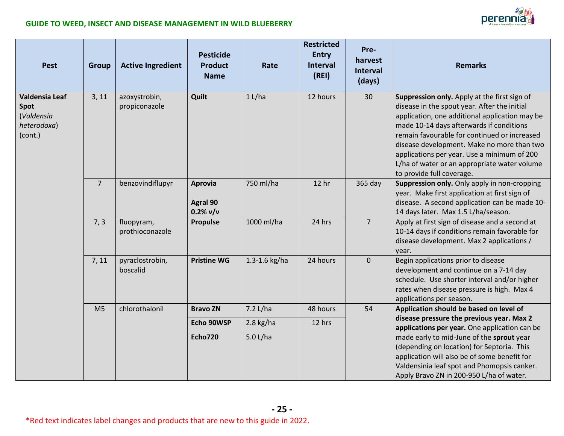

| <b>Pest</b>                                                    | <b>Group</b>   | <b>Active Ingredient</b>       | <b>Pesticide</b><br><b>Product</b><br><b>Name</b> | Rate          | <b>Restricted</b><br><b>Entry</b><br><b>Interval</b><br>(REI) | Pre-<br>harvest<br><b>Interval</b><br>(days) | <b>Remarks</b>                                                                                                                                                                                                                                                                                                                                                                                                       |
|----------------------------------------------------------------|----------------|--------------------------------|---------------------------------------------------|---------------|---------------------------------------------------------------|----------------------------------------------|----------------------------------------------------------------------------------------------------------------------------------------------------------------------------------------------------------------------------------------------------------------------------------------------------------------------------------------------------------------------------------------------------------------------|
| Valdensia Leaf<br>Spot<br>(Valdensia<br>heterodoxa)<br>(cont.) | 3, 11          | azoxystrobin,<br>propiconazole | Quilt                                             | 1 L/ha        | 12 hours                                                      | 30                                           | Suppression only. Apply at the first sign of<br>disease in the spout year. After the initial<br>application, one additional application may be<br>made 10-14 days afterwards if conditions<br>remain favourable for continued or increased<br>disease development. Make no more than two<br>applications per year. Use a minimum of 200<br>L/ha of water or an appropriate water volume<br>to provide full coverage. |
|                                                                | $\overline{7}$ | benzovindiflupyr               | <b>Aprovia</b><br><b>Agral 90</b><br>$0.2%$ v/v   | 750 ml/ha     | 12 hr                                                         | 365 day                                      | Suppression only. Only apply in non-cropping<br>year. Make first application at first sign of<br>disease. A second application can be made 10-<br>14 days later. Max 1.5 L/ha/season.                                                                                                                                                                                                                                |
|                                                                | 7, 3           | fluopyram,<br>prothioconazole  | <b>Propulse</b>                                   | 1000 ml/ha    | 24 hrs                                                        | $\overline{7}$                               | Apply at first sign of disease and a second at<br>10-14 days if conditions remain favorable for<br>disease development. Max 2 applications /<br>year.                                                                                                                                                                                                                                                                |
|                                                                | 7, 11          | pyraclostrobin,<br>boscalid    | <b>Pristine WG</b>                                | 1.3-1.6 kg/ha | 24 hours                                                      | $\mathbf 0$                                  | Begin applications prior to disease<br>development and continue on a 7-14 day<br>schedule. Use shorter interval and/or higher<br>rates when disease pressure is high. Max 4<br>applications per season.                                                                                                                                                                                                              |
|                                                                | M <sub>5</sub> | chlorothalonil                 | <b>Bravo ZN</b>                                   | 7.2 L/ha      | 48 hours                                                      | 54                                           | Application should be based on level of                                                                                                                                                                                                                                                                                                                                                                              |
|                                                                |                |                                | Echo 90WSP                                        | $2.8$ kg/ha   | 12 hrs                                                        |                                              | disease pressure the previous year. Max 2<br>applications per year. One application can be                                                                                                                                                                                                                                                                                                                           |
|                                                                |                |                                | <b>Echo720</b>                                    | 5.0 L/ha      |                                                               |                                              | made early to mid-June of the sprout year<br>(depending on location) for Septoria. This<br>application will also be of some benefit for<br>Valdensinia leaf spot and Phomopsis canker.<br>Apply Bravo ZN in 200-950 L/ha of water.                                                                                                                                                                                   |

**- 25 -**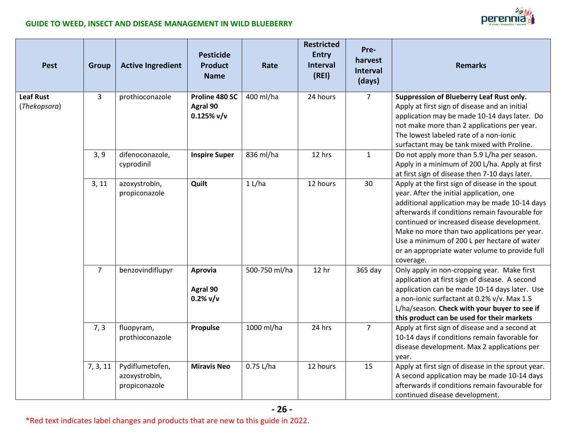

| <b>Pest</b>                      | <b>Group</b>   | <b>Active Ingredient</b>                          | <b>Pesticide</b><br><b>Product</b><br><b>Name</b> | Rate          | <b>Restricted</b><br><b>Entry</b><br><b>Interval</b><br>(REI) | Pre-<br>harvest<br><b>Interval</b><br>(days) | <b>Remarks</b>                                                                                                                                                                                                                                                                                                                                                                                              |
|----------------------------------|----------------|---------------------------------------------------|---------------------------------------------------|---------------|---------------------------------------------------------------|----------------------------------------------|-------------------------------------------------------------------------------------------------------------------------------------------------------------------------------------------------------------------------------------------------------------------------------------------------------------------------------------------------------------------------------------------------------------|
| <b>Leaf Rust</b><br>(Thekopsora) | 3              | prothioconazole                                   | Proline 480 SC<br>Agral 90<br>$0.125\%$ v/v       | 400 ml/ha     | 24 hours                                                      | $\overline{7}$                               | Suppression of Blueberry Leaf Rust only.<br>Apply at first sign of disease and an initial<br>application may be made 10-14 days later. Do<br>not make more than 2 applications per year.<br>The lowest labeled rate of a non-ionic<br>surfactant may be tank mixed with Proline.                                                                                                                            |
|                                  | 3, 9           | difenoconazole,<br>cyprodinil                     | <b>Inspire Super</b>                              | 836 ml/ha     | 12 hrs                                                        | $\mathbf{1}$                                 | Do not apply more than 5.9 L/ha per season.<br>Apply in a minimum of 200 L/ha. Apply at first<br>at first sign of disease then 7-10 days later.                                                                                                                                                                                                                                                             |
|                                  | 3, 11          | azoxystrobin,<br>propiconazole                    | Quilt                                             | 1 L/ha        | 12 hours                                                      | 30                                           | Apply at the first sign of disease in the spout<br>year. After the initial application, one<br>additional application may be made 10-14 days<br>afterwards if conditions remain favourable for<br>continued or increased disease development.<br>Make no more than two applications per year.<br>Use a minimum of 200 L per hectare of water<br>or an appropriate water volume to provide full<br>coverage. |
|                                  | $\overline{7}$ | benzovindiflupyr                                  | Aprovia<br>Agral 90<br>$0.2%$ v/v                 | 500-750 ml/ha | 12 <sub>hr</sub>                                              | 365 day                                      | Only apply in non-cropping year. Make first<br>application at first sign of disease. A second<br>application can be made 10-14 days later. Use<br>a non-ionic surfactant at 0.2% v/v. Max 1.5<br>L/ha/season. Check with your buyer to see if<br>this product can be used for their markets                                                                                                                 |
|                                  | 7, 3           | fluopyram,<br>prothioconazole                     | Propulse                                          | 1000 ml/ha    | 24 hrs                                                        | $\overline{7}$                               | Apply at first sign of disease and a second at<br>10-14 days if conditions remain favorable for<br>disease development. Max 2 applications per<br>year.                                                                                                                                                                                                                                                     |
|                                  | 7, 3, 11       | Pydiflumetofen,<br>azoxystrobin,<br>propiconazole | <b>Miravis Neo</b>                                | 0.75 L/ha     | 12 hours                                                      | 15                                           | Apply at first sign of disease in the sprout year.<br>A second application may be made 10-14 days<br>afterwards if conditions remain favourable for<br>continued disease development.                                                                                                                                                                                                                       |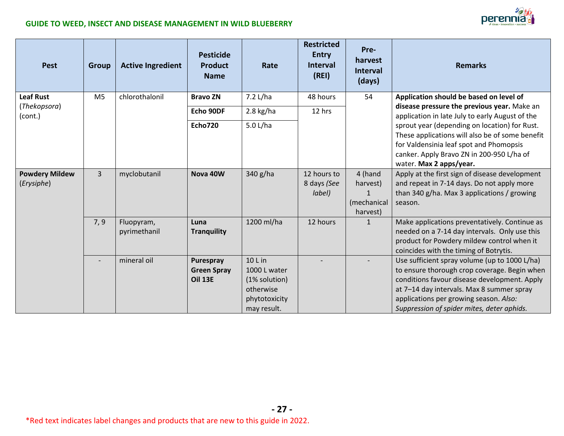

| <b>Pest</b>                         | <b>Group</b>             | <b>Active Ingredient</b>   | <b>Pesticide</b><br>Product<br><b>Name</b>        | Rate                                                                                  | <b>Restricted</b><br><b>Entry</b><br><b>Interval</b><br>(REI) | Pre-<br>harvest<br><b>Interval</b><br>(days)                   | <b>Remarks</b>                                                                                                                                                                                                                                                                     |
|-------------------------------------|--------------------------|----------------------------|---------------------------------------------------|---------------------------------------------------------------------------------------|---------------------------------------------------------------|----------------------------------------------------------------|------------------------------------------------------------------------------------------------------------------------------------------------------------------------------------------------------------------------------------------------------------------------------------|
| <b>Leaf Rust</b><br>(Thekopsora)    | M <sub>5</sub>           | chlorothalonil             | <b>Bravo ZN</b>                                   | 7.2 L/ha                                                                              | 48 hours                                                      | 54                                                             | Application should be based on level of<br>disease pressure the previous year. Make an                                                                                                                                                                                             |
| (cont.)                             |                          |                            | Echo 90DF                                         | $2.8$ kg/ha                                                                           | 12 hrs                                                        |                                                                | application in late July to early August of the                                                                                                                                                                                                                                    |
|                                     |                          |                            | <b>Echo720</b>                                    | 5.0 L/ha                                                                              |                                                               |                                                                | sprout year (depending on location) for Rust.<br>These applications will also be of some benefit<br>for Valdensinia leaf spot and Phomopsis<br>canker. Apply Bravo ZN in 200-950 L/ha of<br>water. Max 2 apps/year.                                                                |
| <b>Powdery Mildew</b><br>(Erysiphe) | $\overline{3}$           | myclobutanil               | Nova 40W                                          | 340 g/ha                                                                              | 12 hours to<br>8 days (See<br>label)                          | 4 (hand<br>harvest)<br>$\mathbf{1}$<br>(mechanical<br>harvest) | Apply at the first sign of disease development<br>and repeat in 7-14 days. Do not apply more<br>than 340 g/ha. Max 3 applications / growing<br>season.                                                                                                                             |
|                                     | 7, 9                     | Fluopyram,<br>pyrimethanil | Luna<br><b>Tranquility</b>                        | 1200 ml/ha                                                                            | 12 hours                                                      | $\mathbf{1}$                                                   | Make applications preventatively. Continue as<br>needed on a 7-14 day intervals. Only use this<br>product for Powdery mildew control when it<br>coincides with the timing of Botrytis.                                                                                             |
|                                     | $\overline{\phantom{0}}$ | mineral oil                | Purespray<br><b>Green Spray</b><br><b>Oil 13E</b> | 10 L in<br>1000 L water<br>(1% solution)<br>otherwise<br>phytotoxicity<br>may result. |                                                               |                                                                | Use sufficient spray volume (up to 1000 L/ha)<br>to ensure thorough crop coverage. Begin when<br>conditions favour disease development. Apply<br>at 7-14 day intervals. Max 8 summer spray<br>applications per growing season. Also:<br>Suppression of spider mites, deter aphids. |

**- 27 -**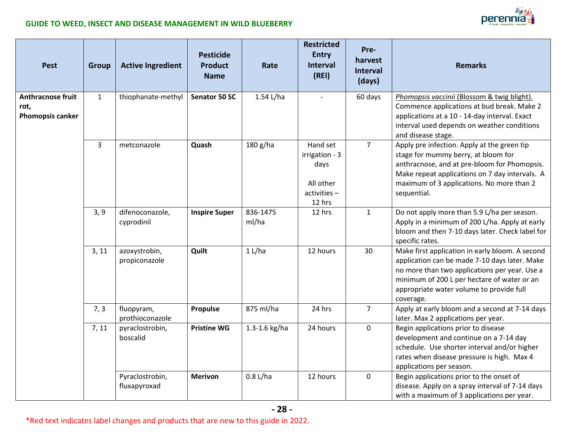

| <b>Pest</b>                                   | <b>Group</b>   | <b>Active Ingredient</b>        | <b>Pesticide</b><br><b>Product</b><br><b>Name</b> | Rate              | <b>Restricted</b><br><b>Entry</b><br><b>Interval</b><br>(REI)               | Pre-<br>harvest<br><b>Interval</b><br>(days) | <b>Remarks</b>                                                                                                                                                                                                                                            |
|-----------------------------------------------|----------------|---------------------------------|---------------------------------------------------|-------------------|-----------------------------------------------------------------------------|----------------------------------------------|-----------------------------------------------------------------------------------------------------------------------------------------------------------------------------------------------------------------------------------------------------------|
| Anthracnose fruit<br>rot,<br>Phomopsis canker | $\mathbf{1}$   | thiophanate-methyl              | Senator 50 SC                                     | $1.54$ L/ha       |                                                                             | 60 days                                      | Phomopsis vaccinii (Blossom & twig blight).<br>Commence applications at bud break. Make 2<br>applications at a 10 - 14-day interval. Exact<br>interval used depends on weather conditions<br>and disease stage.                                           |
|                                               | $\overline{3}$ | metconazole                     | Quash                                             | 180 g/ha          | Hand set<br>irrigation - 3<br>days<br>All other<br>$activities -$<br>12 hrs | $\overline{7}$                               | Apply pre infection. Apply at the green tip<br>stage for mummy berry, at bloom for<br>anthracnose, and at pre-bloom for Phomopsis.<br>Make repeat applications on 7 day intervals. A<br>maximum of 3 applications. No more than 2<br>sequential.          |
|                                               | 3, 9           | difenoconazole,<br>cyprodinil   | <b>Inspire Super</b>                              | 836-1475<br>ml/ha | 12 hrs                                                                      | $\mathbf{1}$                                 | Do not apply more than 5.9 L/ha per season.<br>Apply in a minimum of 200 L/ha. Apply at early<br>bloom and then 7-10 days later. Check label for<br>specific rates.                                                                                       |
|                                               | 3, 11          | azoxystrobin,<br>propiconazole  | Quilt                                             | 1 L/ha            | 12 hours                                                                    | 30                                           | Make first application in early bloom. A second<br>application can be made 7-10 days later. Make<br>no more than two applications per year. Use a<br>minimum of 200 L per hectare of water or an<br>appropriate water volume to provide full<br>coverage. |
|                                               | 7, 3           | fluopyram,<br>prothioconazole   | Propulse                                          | 875 ml/ha         | 24 hrs                                                                      | $\overline{7}$                               | Apply at early bloom and a second at 7-14 days<br>later. Max 2 applications per year.                                                                                                                                                                     |
|                                               | 7, 11          | pyraclostrobin,<br>boscalid     | <b>Pristine WG</b>                                | 1.3-1.6 kg/ha     | 24 hours                                                                    | 0                                            | Begin applications prior to disease<br>development and continue on a 7-14 day<br>schedule. Use shorter interval and/or higher<br>rates when disease pressure is high. Max 4<br>applications per season.                                                   |
|                                               |                | Pyraclostrobin,<br>fluxapyroxad | <b>Merivon</b>                                    | $0.8$ L/ha        | 12 hours                                                                    | $\mathbf 0$                                  | Begin applications prior to the onset of<br>disease. Apply on a spray interval of 7-14 days<br>with a maximum of 3 applications per year.                                                                                                                 |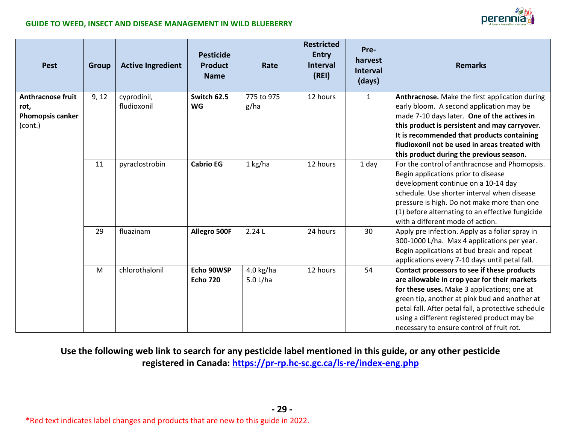

| <b>Pest</b>                                                     | <b>Group</b> | <b>Active Ingredient</b>   | <b>Pesticide</b><br><b>Product</b><br><b>Name</b> | Rate               | <b>Restricted</b><br><b>Entry</b><br><b>Interval</b><br>(REI) | Pre-<br>harvest<br><b>Interval</b><br>(days) | <b>Remarks</b>                                                                                                                                                                                                                                                                                                                        |
|-----------------------------------------------------------------|--------------|----------------------------|---------------------------------------------------|--------------------|---------------------------------------------------------------|----------------------------------------------|---------------------------------------------------------------------------------------------------------------------------------------------------------------------------------------------------------------------------------------------------------------------------------------------------------------------------------------|
| <b>Anthracnose fruit</b><br>rot,<br>Phomopsis canker<br>(cont.) | 9, 12        | cyprodinil,<br>fludioxonil | Switch 62.5<br><b>WG</b>                          | 775 to 975<br>g/ha | 12 hours                                                      | $\mathbf{1}$                                 | Anthracnose. Make the first application during<br>early bloom. A second application may be<br>made 7-10 days later. One of the actives in<br>this product is persistent and may carryover.<br>It is recommended that products containing<br>fludioxonil not be used in areas treated with<br>this product during the previous season. |
|                                                                 | 11           | pyraclostrobin             | <b>Cabrio EG</b>                                  | 1 kg/ha            | 12 hours                                                      | 1 day                                        | For the control of anthracnose and Phomopsis.<br>Begin applications prior to disease<br>development continue on a 10-14 day<br>schedule. Use shorter interval when disease<br>pressure is high. Do not make more than one<br>(1) before alternating to an effective fungicide<br>with a different mode of action.                     |
|                                                                 | 29           | fluazinam                  | Allegro 500F                                      | 2.24L              | 24 hours                                                      | 30                                           | Apply pre infection. Apply as a foliar spray in<br>300-1000 L/ha. Max 4 applications per year.<br>Begin applications at bud break and repeat<br>applications every 7-10 days until petal fall.                                                                                                                                        |
|                                                                 | M            | chlorothalonil             | Echo 90WSP                                        | $4.0$ kg/ha        | 12 hours                                                      | 54                                           | Contact processors to see if these products                                                                                                                                                                                                                                                                                           |
|                                                                 |              |                            | <b>Echo 720</b>                                   | 5.0 L/ha           |                                                               |                                              | are allowable in crop year for their markets<br>for these uses. Make 3 applications; one at<br>green tip, another at pink bud and another at<br>petal fall. After petal fall, a protective schedule<br>using a different registered product may be<br>necessary to ensure control of fruit rot.                                       |

### **Use the following web link to search for any pesticide label mentioned in this guide, or any other pesticide registered in Canada: <https://pr-rp.hc-sc.gc.ca/ls-re/index-eng.php>**

**- 29 -**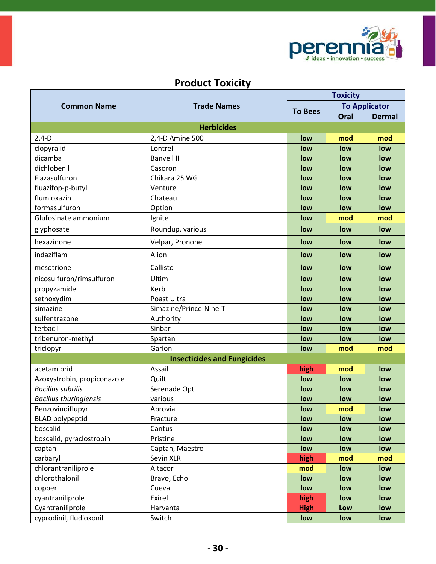

### **Product Toxicity**

|                               |                                    | <b>Toxicity</b> |                      |               |  |
|-------------------------------|------------------------------------|-----------------|----------------------|---------------|--|
| <b>Common Name</b>            | <b>Trade Names</b>                 |                 | <b>To Applicator</b> |               |  |
|                               |                                    | <b>To Bees</b>  | Oral                 | <b>Dermal</b> |  |
|                               | <b>Herbicides</b>                  |                 |                      |               |  |
| $2,4-D$                       | 2,4-D Amine 500                    | low             | mod                  | mod           |  |
| clopyralid                    | Lontrel                            | low             | low                  | low           |  |
| dicamba                       | <b>Banvell II</b>                  | low             | low                  | low           |  |
| dichlobenil                   | Casoron                            | low             | low                  | low           |  |
| Flazasulfuron                 | Chikara 25 WG                      | low             | low                  | low           |  |
| fluazifop-p-butyl             | Venture                            | low             | low                  | low           |  |
| flumioxazin                   | Chateau                            | low             | low                  | low           |  |
| formasulfuron                 | Option                             | low             | low                  | low           |  |
| Glufosinate ammonium          | Ignite                             | low             | mod                  | mod           |  |
| glyphosate                    | Roundup, various                   | low             | low                  | low           |  |
| hexazinone                    | Velpar, Pronone                    | low             | low                  | low           |  |
| indaziflam                    | Alion                              | low             | low                  | low           |  |
| mesotrione                    | Callisto                           | low             | low                  | low           |  |
| nicosulfuron/rimsulfuron      | Ultim                              | low             | low                  | low           |  |
| propyzamide                   | Kerb                               | low             | low                  | low           |  |
| sethoxydim                    | Poast Ultra                        | low             | low                  | low           |  |
| simazine                      | Simazine/Prince-Nine-T             | low             | low                  | low           |  |
| sulfentrazone                 | Authority                          | low             | low                  | low           |  |
| terbacil                      | Sinbar                             | low             | low                  | low           |  |
| tribenuron-methyl             | Spartan                            | low             | low                  | low           |  |
| triclopyr                     | Garlon                             | low             | mod                  | mod           |  |
|                               | <b>Insecticides and Fungicides</b> |                 |                      |               |  |
| acetamiprid                   | Assail                             | high            | mod                  | low           |  |
| Azoxystrobin, propiconazole   | Quilt                              | low             | low                  | low           |  |
| <b>Bacillus subtilis</b>      | Serenade Opti                      | low             | low                  | low           |  |
| <b>Bacillus thuringiensis</b> | various                            | low             | low                  | low           |  |
| Benzovindiflupyr              | Aprovia                            | low             | mod                  | low           |  |
| <b>BLAD</b> polypeptid        | Fracture                           | low             | low                  | low           |  |
| boscalid                      | Cantus                             | low             | low                  | low           |  |
| boscalid, pyraclostrobin      | Pristine                           | low             | low                  | low           |  |
| captan                        | Captan, Maestro                    | low             | low                  | low           |  |
| carbaryl                      | Sevin XLR                          | high            | mod                  | mod           |  |
| chlorantraniliprole           | Altacor                            | mod             | low                  | low           |  |
| chlorothalonil                | Bravo, Echo                        | low             | low                  | low           |  |
| copper                        | Cueva                              | low             | low                  | low           |  |
| cyantraniliprole              | Exirel                             | high            | low                  | low           |  |
| Cyantraniliprole              | Harvanta                           | <b>High</b>     | Low                  | low           |  |
| cyprodinil, fludioxonil       | Switch                             | low             | low                  | low           |  |